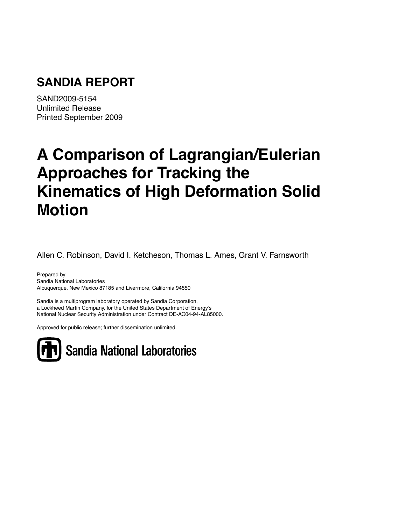## **SANDIA REPORT**

SAND2009-5154 Unlimited Release Printed September 2009

# **A Comparison of Lagrangian/Eulerian Approaches for Tracking the Kinematics of High Deformation Solid Motion**

Allen C. Robinson, David I. Ketcheson, Thomas L. Ames, Grant V. Farnsworth

Prepared by Sandia National Laboratories Albuquerque, New Mexico 87185 and Livermore, California 94550

Sandia is a multiprogram laboratory operated by Sandia Corporation, a Lockheed Martin Company, for the United States Department of Energy's National Nuclear Security Administration under Contract DE-AC04-94-AL85000.

Approved for public release; further dissemination unlimited.

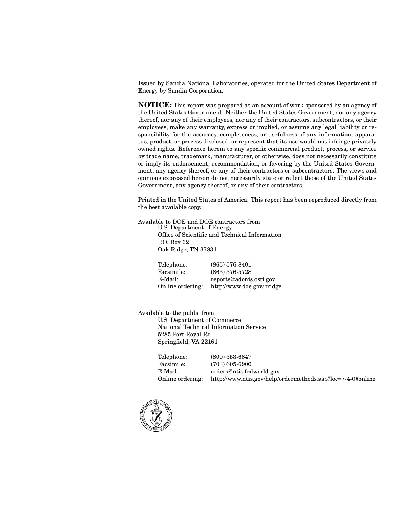Issued by Sandia National Laboratories, operated for the United States Department of Energy by Sandia Corporation.

**NOTICE:** This report was prepared as an account of work sponsored by an agency of the United States Government. Neither the United States Government, nor any agency thereof, nor any of their employees, nor any of their contractors, subcontractors, or their employees, make any warranty, express or implied, or assume any legal liability or responsibility for the accuracy, completeness, or usefulness of any information, apparatus, product, or process disclosed, or represent that its use would not infringe privately owned rights. Reference herein to any specific commercial product, process, or service by trade name, trademark, manufacturer, or otherwise, does not necessarily constitute or imply its endorsement, recommendation, or favoring by the United States Government, any agency thereof, or any of their contractors or subcontractors. The views and opinions expressed herein do not necessarily state or reflect those of the United States Government, any agency thereof, or any of their contractors.

Printed in the United States of America. This report has been reproduced directly from the best available copy.

Available to DOE and DOE contractors from U.S. Department of Energy Office of Scientific and Technical Information P.O. Box 62 Oak Ridge, TN 37831

> Telephone: (865) 576-8401 Facsimile: (865) 576-5728 E-Mail: reports@adonis.osti.gov Online ordering: http://www.doe.gov/bridge

Available to the public from U.S. Department of Commerce National Technical Information Service 5285 Port Royal Rd Springfield, VA 22161

> Telephone: (800) 553-6847 Facsimile: (703) 605-6900 E-Mail: orders@ntis.fedworld.gov Online ordering: http://www.ntis.gov/help/ordermethods.asp?loc=7-4-0#online

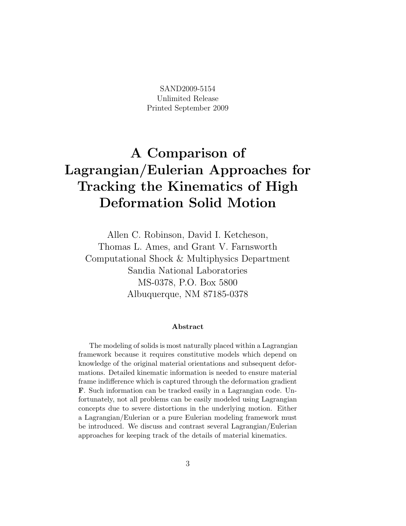SAND2009-5154 Unlimited Release Printed September 2009

## A Comparison of Lagrangian/Eulerian Approaches for Tracking the Kinematics of High Deformation Solid Motion

Allen C. Robinson, David I. Ketcheson, Thomas L. Ames, and Grant V. Farnsworth Computational Shock & Multiphysics Department Sandia National Laboratories MS-0378, P.O. Box 5800 Albuquerque, NM 87185-0378

#### Abstract

The modeling of solids is most naturally placed within a Lagrangian framework because it requires constitutive models which depend on knowledge of the original material orientations and subsequent deformations. Detailed kinematic information is needed to ensure material frame indifference which is captured through the deformation gradient F. Such information can be tracked easily in a Lagrangian code. Unfortunately, not all problems can be easily modeled using Lagrangian concepts due to severe distortions in the underlying motion. Either a Lagrangian/Eulerian or a pure Eulerian modeling framework must be introduced. We discuss and contrast several Lagrangian/Eulerian approaches for keeping track of the details of material kinematics.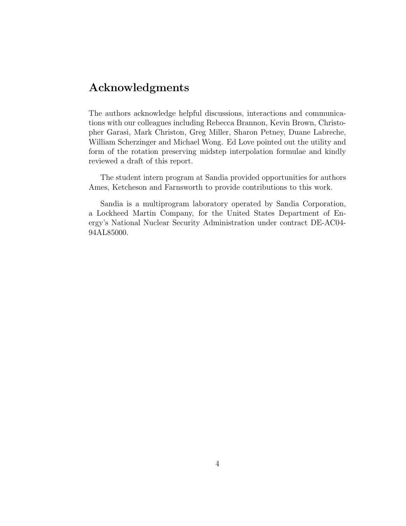### Acknowledgments

The authors acknowledge helpful discussions, interactions and communications with our colleagues including Rebecca Brannon, Kevin Brown, Christopher Garasi, Mark Christon, Greg Miller, Sharon Petney, Duane Labreche, William Scherzinger and Michael Wong. Ed Love pointed out the utility and form of the rotation preserving midstep interpolation formulae and kindly reviewed a draft of this report.

The student intern program at Sandia provided opportunities for authors Ames, Ketcheson and Farnsworth to provide contributions to this work.

Sandia is a multiprogram laboratory operated by Sandia Corporation, a Lockheed Martin Company, for the United States Department of Energy's National Nuclear Security Administration under contract DE-AC04- 94AL85000.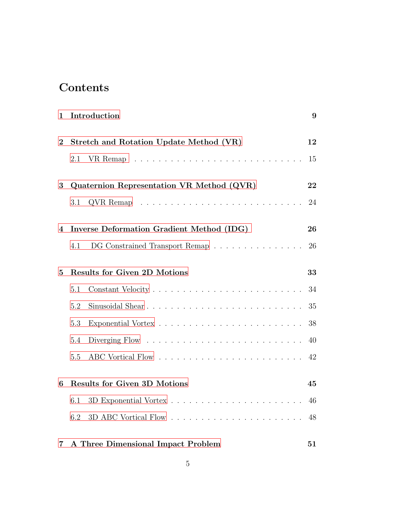## Contents

| 1              | Introduction                              | 9  |
|----------------|-------------------------------------------|----|
| $\bf{2}$       | Stretch and Rotation Update Method (VR)   | 12 |
|                | 2.1                                       | 15 |
| 3              | Quaternion Representation VR Method (QVR) | 22 |
|                | 3.1                                       | 24 |
| 4              | Inverse Deformation Gradient Method (IDG) | 26 |
|                | DG Constrained Transport Remap<br>4.1     | 26 |
| $\overline{5}$ | <b>Results for Given 2D Motions</b>       | 33 |
|                | 5.1                                       | 34 |
|                | 5.2                                       | 35 |
|                | 5.3                                       | 38 |
|                | 5.4                                       | 40 |
|                | 5.5                                       | 42 |
| 6              | <b>Results for Given 3D Motions</b>       | 45 |
|                | 6.1                                       | 46 |
|                | 6.2                                       | 48 |
| 7              | A Three Dimensional Impact Problem        | 51 |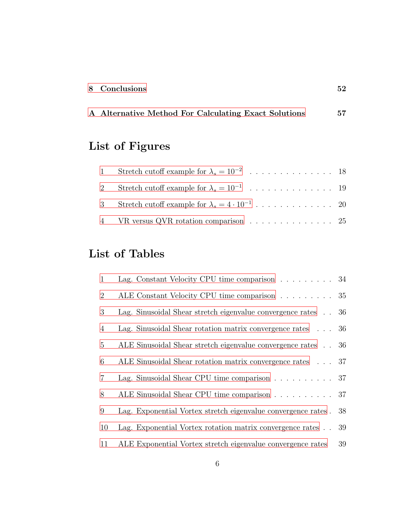A Alternative Method For [Calculating](#page-56-0) Exact Solutions 57

## List of Figures

| 4 VR versus QVR rotation comparison 25 |  |
|----------------------------------------|--|

## List of Tables

| $\mathbf{1}$   | Lag. Constant Velocity CPU time comparison $\ldots \ldots \ldots$ 34 |    |
|----------------|----------------------------------------------------------------------|----|
| $\overline{2}$ | ALE Constant Velocity CPU time comparison 35                         |    |
| 3              | Lag. Sinusoidal Shear stretch eigenvalue convergence rates 36        |    |
| $\overline{4}$ | Lag. Sinusoidal Shear rotation matrix convergence rates $\ldots$ 36  |    |
| 5              | ALE Sinusoidal Shear stretch eigenvalue convergence rates 36         |    |
| 6              | ALE Sinusoidal Shear rotation matrix convergence rates 37            |    |
| $\overline{7}$ | Lag. Sinusoidal Shear CPU time comparison $\ldots \ldots \ldots$ 37  |    |
| 8              | ALE Sinusoidal Shear CPU time comparison 37                          |    |
| 9              | Lag. Exponential Vortex stretch eigenvalue convergence rates.        | 38 |
| 10             | Lag. Exponential Vortex rotation matrix convergence rates            | 39 |
| 11             | ALE Exponential Vortex stretch eigenvalue convergence rates          | 39 |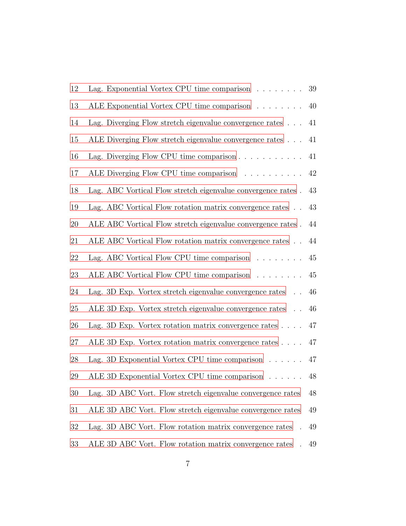| 12 | Lag. Exponential Vortex CPU time comparison $\ldots \ldots$       | 39     |
|----|-------------------------------------------------------------------|--------|
| 13 | ALE Exponential Vortex CPU time comparison                        | 40     |
| 14 | Lag. Diverging Flow stretch eigenvalue convergence rates $\ldots$ | 41     |
| 15 | ALE Diverging Flow stretch eigenvalue convergence rates           | 41     |
| 16 | Lag. Diverging Flow CPU time comparison $\ldots \ldots \ldots$    | 41     |
| 17 | ALE Diverging Flow CPU time comparison                            | $42\,$ |
| 18 | Lag. ABC Vortical Flow stretch eigenvalue convergence rates.      | 43     |
| 19 | Lag. ABC Vortical Flow rotation matrix convergence rates          | 43     |
| 20 | ALE ABC Vortical Flow stretch eigenvalue convergence rates.       | 44     |
| 21 | ALE ABC Vortical Flow rotation matrix convergence rates           | 44     |
| 22 | Lag. ABC Vortical Flow CPU time comparison $\dots \dots$          | $45\,$ |
| 23 | ALE ABC Vortical Flow CPU time comparison                         | 45     |
| 24 | Lag. 3D Exp. Vortex stretch eigenvalue convergence rates          | 46     |
| 25 | ALE 3D Exp. Vortex stretch eigenvalue convergence rates           | 46     |
| 26 | Lag. 3D Exp. Vortex rotation matrix convergence rates $\ldots$ .  | 47     |
| 27 | ALE 3D Exp. Vortex rotation matrix convergence rates              | 47     |
| 28 | Lag. 3D Exponential Vortex CPU time comparison $\dots \dots$      | 47     |
| 29 | ALE 3D Exponential Vortex CPU time comparison                     | 48     |
| 30 | Lag. 3D ABC Vort. Flow stretch eigenvalue convergence rates       | $48\,$ |
| 31 | ALE 3D ABC Vort. Flow stretch eigenvalue convergence rates        | 49     |
| 32 | Lag. 3D ABC Vort. Flow rotation matrix convergence rates          | 49     |
| 33 | ALE 3D ABC Vort. Flow rotation matrix convergence rates           | 49     |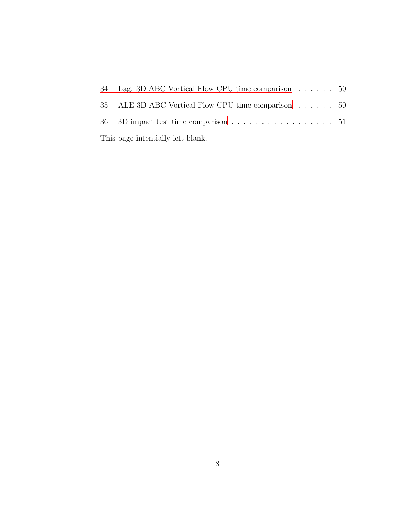| 34 Lag. 3D ABC Vortical Flow CPU time comparison 50                       |  |
|---------------------------------------------------------------------------|--|
| 35 ALE 3D ABC Vortical Flow CPU time comparison 50                        |  |
| 36 3D impact test time comparison $\ldots \ldots \ldots \ldots \ldots 51$ |  |
| This page intentially left blank.                                         |  |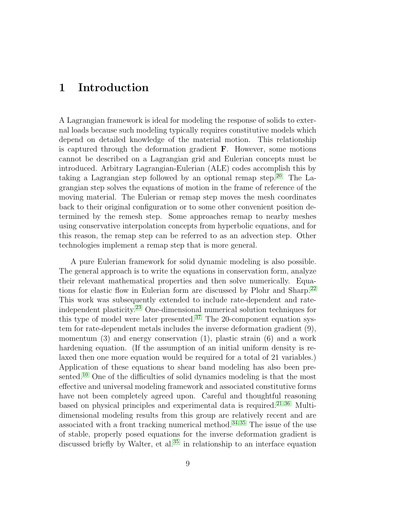### <span id="page-8-0"></span>1 Introduction

A Lagrangian framework is ideal for modeling the response of solids to external loads because such modeling typically requires constitutive models which depend on detailed knowledge of the material motion. This relationship is captured through the deformation gradient F. However, some motions cannot be described on a Lagrangian grid and Eulerian concepts must be introduced. Arbitrary Lagrangian-Eulerian (ALE) codes accomplish this by taking a Lagrangian step followed by an optional remap step.<sup>[20](#page-53-0)</sup> The Lagrangian step solves the equations of motion in the frame of reference of the moving material. The Eulerian or remap step moves the mesh coordinates back to their original configuration or to some other convenient position determined by the remesh step. Some approaches remap to nearby meshes using conservative interpolation concepts from hyperbolic equations, and for this reason, the remap step can be referred to as an advection step. Other technologies implement a remap step that is more general.

A pure Eulerian framework for solid dynamic modeling is also possible. The general approach is to write the equations in conservation form, analyze their relevant mathematical properties and then solve numerically. Equa-tions for elastic flow in Eulerian form are discussed by Plohr and Sharp.<sup>[22](#page-54-0)</sup> This work was subsequently extended to include rate-dependent and rateindependent plasticity. [23](#page-54-1) One-dimensional numerical solution techniques for this type of model were later presented.<sup>[37](#page-55-0)</sup> The 20-component equation system for rate-dependent metals includes the inverse deformation gradient (9), momentum  $(3)$  and energy conservation  $(1)$ , plastic strain  $(6)$  and a work hardening equation. (If the assumption of an initial uniform density is relaxed then one more equation would be required for a total of 21 variables.) Application of these equations to shear band modeling has also been presented.[10](#page-52-0) One of the difficulties of solid dynamics modeling is that the most effective and universal modeling framework and associated constitutive forms have not been completely agreed upon. Careful and thoughtful reasoning based on physical principles and experimental data is required.<sup>[21,](#page-53-1)[36](#page-55-1)</sup> Multidimensional modeling results from this group are relatively recent and are associated with a front tracking numerical method.<sup>[34,](#page-55-2) [35](#page-55-3)</sup> The issue of the use of stable, properly posed equations for the inverse deformation gradient is discussed briefly by Walter, et al.<sup>[35](#page-55-3)</sup> in relationship to an interface equation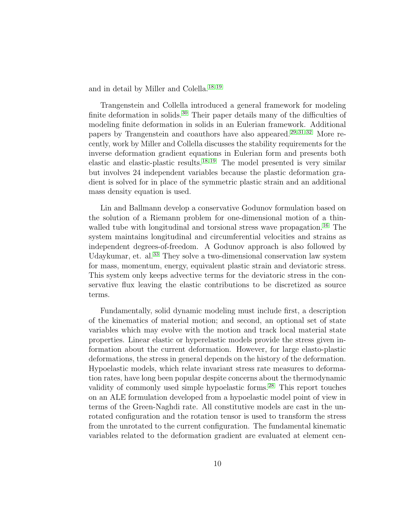and in detail by Miller and Colella.[18,](#page-53-2) [19](#page-53-3)

Trangenstein and Collella introduced a general framework for modeling finite deformation in solids.<sup>[30](#page-54-2)</sup> Their paper details many of the difficulties of modeling finite deformation in solids in an Eulerian framework. Additional papers by Trangenstein and coauthors have also appeared.<sup>[29,](#page-54-3) [31,](#page-54-4) [32](#page-55-4)</sup> More recently, work by Miller and Collella discusses the stability requirements for the inverse deformation gradient equations in Eulerian form and presents both elastic and elastic-plastic results.[18,](#page-53-2) [19](#page-53-3) The model presented is very similar but involves 24 independent variables because the plastic deformation gradient is solved for in place of the symmetric plastic strain and an additional mass density equation is used.

Lin and Ballmann develop a conservative Godunov formulation based on the solution of a Riemann problem for one-dimensional motion of a thin-walled tube with longitudinal and torsional stress wave propagation.<sup>[16](#page-53-4)</sup> The system maintains longitudinal and circumferential velocities and strains as independent degrees-of-freedom. A Godunov approach is also followed by Udaykumar, et. al.<sup>[33](#page-55-5)</sup> They solve a two-dimensional conservation law system for mass, momentum, energy, equivalent plastic strain and deviatoric stress. This system only keeps advective terms for the deviatoric stress in the conservative flux leaving the elastic contributions to be discretized as source terms.

Fundamentally, solid dynamic modeling must include first, a description of the kinematics of material motion; and second, an optional set of state variables which may evolve with the motion and track local material state properties. Linear elastic or hyperelastic models provide the stress given information about the current deformation. However, for large elasto-plastic deformations, the stress in general depends on the history of the deformation. Hypoelastic models, which relate invariant stress rate measures to deformation rates, have long been popular despite concerns about the thermodynamic validity of commonly used simple hypoelastic forms.[28](#page-54-5) This report touches on an ALE formulation developed from a hypoelastic model point of view in terms of the Green-Naghdi rate. All constitutive models are cast in the unrotated configuration and the rotation tensor is used to transform the stress from the unrotated to the current configuration. The fundamental kinematic variables related to the deformation gradient are evaluated at element cen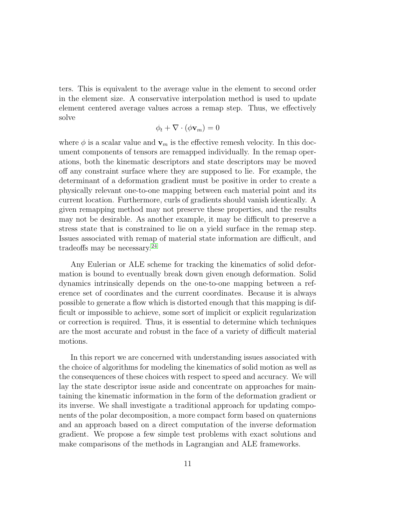ters. This is equivalent to the average value in the element to second order in the element size. A conservative interpolation method is used to update element centered average values across a remap step. Thus, we effectively solve

$$
\phi_t + \nabla \cdot (\phi \mathbf{v}_m) = 0
$$

where  $\phi$  is a scalar value and  $\mathbf{v}_m$  is the effective remesh velocity. In this document components of tensors are remapped individually. In the remap operations, both the kinematic descriptors and state descriptors may be moved off any constraint surface where they are supposed to lie. For example, the determinant of a deformation gradient must be positive in order to create a physically relevant one-to-one mapping between each material point and its current location. Furthermore, curls of gradients should vanish identically. A given remapping method may not preserve these properties, and the results may not be desirable. As another example, it may be difficult to preserve a stress state that is constrained to lie on a yield surface in the remap step. Issues associated with remap of material state information are difficult, and tradeoffs may be necessary.<sup>[24](#page-54-6)</sup>

Any Eulerian or ALE scheme for tracking the kinematics of solid deformation is bound to eventually break down given enough deformation. Solid dynamics intrinsically depends on the one-to-one mapping between a reference set of coordinates and the current coordinates. Because it is always possible to generate a flow which is distorted enough that this mapping is difficult or impossible to achieve, some sort of implicit or explicit regularization or correction is required. Thus, it is essential to determine which techniques are the most accurate and robust in the face of a variety of difficult material motions.

In this report we are concerned with understanding issues associated with the choice of algorithms for modeling the kinematics of solid motion as well as the consequences of these choices with respect to speed and accuracy. We will lay the state descriptor issue aside and concentrate on approaches for maintaining the kinematic information in the form of the deformation gradient or its inverse. We shall investigate a traditional approach for updating components of the polar decomposition, a more compact form based on quaternions and an approach based on a direct computation of the inverse deformation gradient. We propose a few simple test problems with exact solutions and make comparisons of the methods in Lagrangian and ALE frameworks.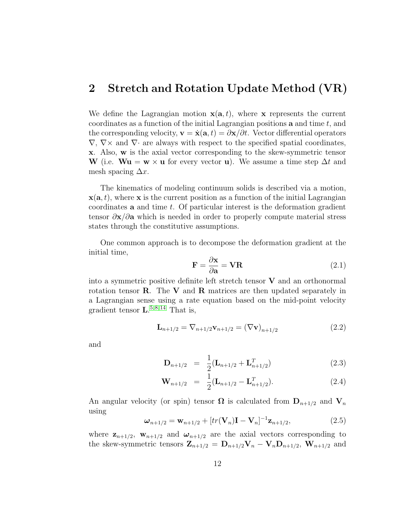#### <span id="page-11-0"></span>2 Stretch and Rotation Update Method (VR)

We define the Lagrangian motion  $\mathbf{x}(\mathbf{a},t)$ , where x represents the current coordinates as a function of the initial Lagrangian positions  $\bf{a}$  and time t, and the corresponding velocity,  $\mathbf{v} = \dot{\mathbf{x}}(\mathbf{a},t) = \partial \mathbf{x}/\partial t$ . Vector differential operators  $\nabla, \nabla \times$  and  $\nabla \cdot$  are always with respect to the specified spatial coordinates, x. Also, w is the axial vector corresponding to the skew-symmetric tensor W (i.e.  $\mathbf{W} \mathbf{u} = \mathbf{w} \times \mathbf{u}$  for every vector **u**). We assume a time step  $\Delta t$  and mesh spacing  $\Delta x$ .

The kinematics of modeling continuum solids is described via a motion,  $\mathbf{x}(\mathbf{a},t)$ , where x is the current position as a function of the initial Lagrangian coordinates **a** and time  $t$ . Of particular interest is the deformation gradient tensor  $\partial x/\partial a$  which is needed in order to properly compute material stress states through the constitutive assumptions.

<span id="page-11-2"></span>One common approach is to decompose the deformation gradient at the initial time,

$$
\mathbf{F} = \frac{\partial \mathbf{x}}{\partial \mathbf{a}} = \mathbf{V} \mathbf{R} \tag{2.1}
$$

into a symmetric positive definite left stretch tensor  $V$  and an orthonormal rotation tensor  $\bf R$ . The  $\bf V$  and  $\bf R$  matrices are then updated separately in a Lagrangian sense using a rate equation based on the mid-point velocity gradient tensor  $\mathbf{L}^{5,8,14}$  $\mathbf{L}^{5,8,14}$  $\mathbf{L}^{5,8,14}$  $\mathbf{L}^{5,8,14}$  $\mathbf{L}^{5,8,14}$  That is,

$$
\mathbf{L}_{n+1/2} = \nabla_{n+1/2} \mathbf{v}_{n+1/2} = (\nabla \mathbf{v})_{n+1/2}
$$
 (2.2)

and

$$
\mathbf{D}_{n+1/2} = \frac{1}{2} (\mathbf{L}_{n+1/2} + \mathbf{L}_{n+1/2}^T) \tag{2.3}
$$

$$
\mathbf{W}_{n+1/2} = \frac{1}{2} (\mathbf{L}_{n+1/2} - \mathbf{L}_{n+1/2}^T). \tag{2.4}
$$

<span id="page-11-1"></span>An angular velocity (or spin) tensor  $\Omega$  is calculated from  $D_{n+1/2}$  and  $V_n$ using

$$
\omega_{n+1/2} = \mathbf{w}_{n+1/2} + [tr(\mathbf{V}_n)\mathbf{I} - \mathbf{V}_n]^{-1} \mathbf{z}_{n+1/2},
$$
(2.5)

where  $z_{n+1/2}$ ,  $w_{n+1/2}$  and  $\omega_{n+1/2}$  are the axial vectors corresponding to the skew-symmetric tensors  $\mathbf{Z}_{n+1/2} = \mathbf{D}_{n+1/2} \mathbf{V}_n - \mathbf{V}_n \mathbf{D}_{n+1/2}$ ,  $\mathbf{W}_{n+1/2}$  and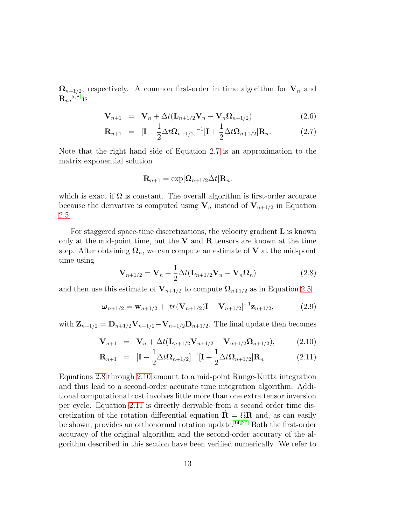<span id="page-12-0"></span> $\Omega_{n+1/2}$ , respectively. A common first-order in time algorithm for  $V_n$  and  $\mathbf{R}_n, ^{5,8}$  $\mathbf{R}_n, ^{5,8}$  $\mathbf{R}_n, ^{5,8}$  $\mathbf{R}_n, ^{5,8}$  is

$$
\mathbf{V}_{n+1} = \mathbf{V}_n + \Delta t (\mathbf{L}_{n+1/2} \mathbf{V}_n - \mathbf{V}_n \Omega_{n+1/2})
$$
(2.6)

$$
\mathbf{R}_{n+1} = [\mathbf{I} - \frac{1}{2}\Delta t \mathbf{\Omega}_{n+1/2}]^{-1} [\mathbf{I} + \frac{1}{2}\Delta t \mathbf{\Omega}_{n+1/2}] \mathbf{R}_n.
$$
 (2.7)

Note that the right hand side of Equation [2.7](#page-12-0) is an approximation to the matrix exponential solution

$$
\mathbf{R}_{n+1} = \exp[\mathbf{\Omega}_{n+1/2}\Delta t] \mathbf{R}_n.
$$

which is exact if  $\Omega$  is constant. The overall algorithm is first-order accurate because the derivative is computed using  $V_n$  instead of  $V_{n+1/2}$  in Equation [2.5.](#page-11-1)

<span id="page-12-1"></span>For staggered space-time discretizations, the velocity gradient  $\bf{L}$  is known only at the mid-point time, but the  $V$  and  $R$  tensors are known at the time step. After obtaining  $\Omega_n$ , we can compute an estimate of **V** at the mid-point time using

$$
\mathbf{V}_{n+1/2} = \mathbf{V}_n + \frac{1}{2} \Delta t (\mathbf{L}_{n+1/2} \mathbf{V}_n - \mathbf{V}_n \Omega_n)
$$
(2.8)

and then use this estimate of  $V_{n+1/2}$  to compute  $\Omega_{n+1/2}$  as in Equation [2.5.](#page-11-1)

$$
\boldsymbol{\omega}_{n+1/2} = \mathbf{w}_{n+1/2} + [tr(\mathbf{V}_{n+1/2})\mathbf{I} - \mathbf{V}_{n+1/2}]^{-1} \mathbf{z}_{n+1/2},
$$
(2.9)

<span id="page-12-2"></span>with  $\mathbf{Z}_{n+1/2} = \mathbf{D}_{n+1/2} \mathbf{V}_{n+1/2} - \mathbf{V}_{n+1/2} \mathbf{D}_{n+1/2}$ . The final update then becomes

$$
\mathbf{V}_{n+1} = \mathbf{V}_n + \Delta t (\mathbf{L}_{n+1/2} \mathbf{V}_{n+1/2} - \mathbf{V}_{n+1/2} \Omega_{n+1/2}), \tag{2.10}
$$

$$
\mathbf{R}_{n+1} = [\mathbf{I} - \frac{1}{2} \Delta t \mathbf{\Omega}_{n+1/2}]^{-1} [\mathbf{I} + \frac{1}{2} \Delta t \mathbf{\Omega}_{n+1/2}] \mathbf{R}_n.
$$
 (2.11)

Equations [2.8](#page-12-1) through [2.10](#page-12-2) amount to a mid-point Runge-Kutta integration and thus lead to a second-order accurate time integration algorithm. Additional computational cost involves little more than one extra tensor inversion per cycle. Equation [2.11](#page-12-2) is directly derivable from a second order time discretization of the rotation differential equation  $\mathbf{R} = \Omega \mathbf{R}$  and, as can easily be shown, provides an orthonormal rotation update.<sup>[14,](#page-53-5) [27](#page-54-7)</sup> Both the first-order accuracy of the original algorithm and the second-order accuracy of the algorithm described in this section have been verified numerically. We refer to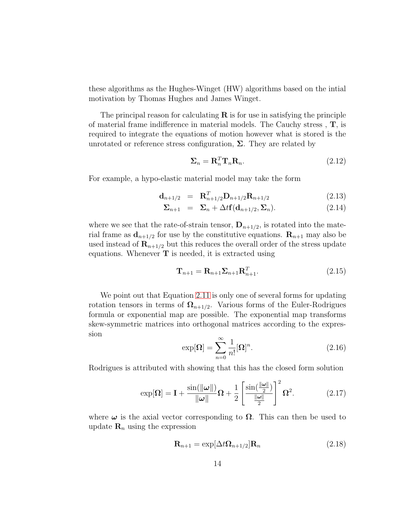these algorithms as the Hughes-Winget (HW) algorithms based on the intial motivation by Thomas Hughes and James Winget.

The principal reason for calculating  $\bf{R}$  is for use in satisfying the principle of material frame indifference in material models. The Cauchy stress , T, is required to integrate the equations of motion however what is stored is the unrotated or reference stress configuration,  $\Sigma$ . They are related by

$$
\Sigma_n = \mathbf{R}_n^T \mathbf{T}_n \mathbf{R}_n. \tag{2.12}
$$

For example, a hypo-elastic material model may take the form

$$
\mathbf{d}_{n+1/2} = \mathbf{R}_{n+1/2}^T \mathbf{D}_{n+1/2} \mathbf{R}_{n+1/2} \tag{2.13}
$$

$$
\Sigma_{n+1} = \Sigma_n + \Delta t \mathbf{f}(\mathbf{d}_{n+1/2}, \Sigma_n). \tag{2.14}
$$

where we see that the rate-of-strain tensor,  $\mathbf{D}_{n+1/2}$ , is rotated into the material frame as  $\mathbf{d}_{n+1/2}$  for use by the constitutive equations.  $\mathbf{R}_{n+1}$  may also be used instead of  $\mathbf{R}_{n+1/2}$  but this reduces the overall order of the stress update equations. Whenever  $\mathbf T$  is needed, it is extracted using

<span id="page-13-0"></span>
$$
\mathbf{T}_{n+1} = \mathbf{R}_{n+1} \boldsymbol{\Sigma}_{n+1} \mathbf{R}_{n+1}^T.
$$
\n(2.15)

We point out that Equation [2.11](#page-12-2) is only one of several forms for updating rotation tensors in terms of  $\Omega_{n+1/2}$ . Various forms of the Euler-Rodrigues formula or exponential map are possible. The exponential map transforms skew-symmetric matrices into orthogonal matrices according to the expression

<span id="page-13-1"></span>
$$
\exp[\Omega] = \sum_{n=0}^{\infty} \frac{1}{n!} [\Omega]^n.
$$
\n(2.16)

Rodrigues is attributed with showing that this has the closed form solution

$$
\exp[\Omega] = \mathbf{I} + \frac{\sin(\|\omega\|)}{\|\omega\|} \Omega + \frac{1}{2} \left[ \frac{\sin(\frac{\|\omega\|}{2})}{\frac{\|\omega\|}{2}} \right]^2 \Omega^2.
$$
 (2.17)

where  $\omega$  is the axial vector corresponding to  $\Omega$ . This can then be used to update  $\mathbf{R}_n$  using the expression

$$
\mathbf{R}_{n+1} = \exp[\Delta t \mathbf{\Omega}_{n+1/2}] \mathbf{R}_n \tag{2.18}
$$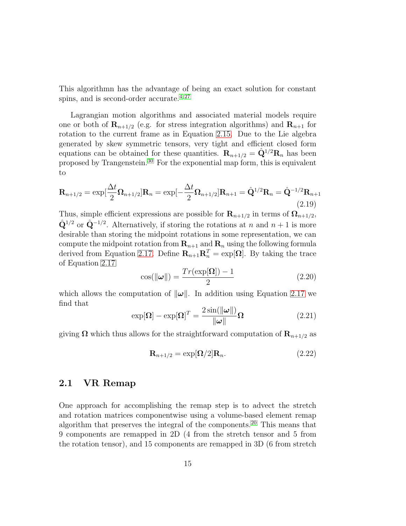This algorithmn has the advantage of being an exact solution for constant spins, and is second-order accurate. $4,27$  $4,27$ 

Lagrangian motion algorithms and associated material models require one or both of  $\mathbf{R}_{n+1/2}$  (e.g. for stress integration algorithms) and  $\mathbf{R}_{n+1}$  for rotation to the current frame as in Equation [2.15.](#page-13-0) Due to the Lie algebra generated by skew symmetric tensors, very tight and efficient closed form equations can be obtained for these quantities.  $\mathbf{R}_{n+1/2} = \hat{\mathbf{Q}}^{1/2} \mathbf{R}_n$  has been proposed by Trangenstein.[30](#page-54-2) For the exponential map form, this is equivalent to

$$
\mathbf{R}_{n+1/2} = \exp[\frac{\Delta t}{2}\mathbf{\Omega}_{n+1/2}]\mathbf{R}_n = \exp[-\frac{\Delta t}{2}\mathbf{\Omega}_{n+1/2}]\mathbf{R}_{n+1} = \hat{\mathbf{Q}}^{1/2}\mathbf{R}_n = \hat{\mathbf{Q}}^{-1/2}\mathbf{R}_{n+1}
$$
\n(2.19)

Thus, simple efficient expressions are possible for  $\mathbf{R}_{n+1/2}$  in terms of  $\mathbf{\Omega}_{n+1/2}$ ,  $\hat{\mathbf{Q}}^{1/2}$  or  $\hat{\mathbf{Q}}^{-1/2}$ . Alternatively, if storing the rotations at n and  $n+1$  is more desirable than storing the midpoint rotations in some representation, we can compute the midpoint rotation from  $\mathbf{R}_{n+1}$  and  $\mathbf{R}_n$  using the following formula derived from Equation [2.17.](#page-13-1) Define  $\mathbf{R}_{n+1} \mathbf{R}_n^T = \exp[\mathbf{\Omega}]$ . By taking the trace of Equation [2.17](#page-13-1)

$$
\cos(\|\omega\|) = \frac{Tr(\exp[\Omega]) - 1}{2} \tag{2.20}
$$

which allows the computation of  $\|\omega\|$ . In addition using Equation [2.17](#page-13-1) we find that

$$
\exp[\Omega] - \exp[\Omega]^T = \frac{2\sin(\|\omega\|)}{\|\omega\|} \Omega \tag{2.21}
$$

giving  $\Omega$  which thus allows for the straightforward computation of  $\mathbf{R}_{n+1/2}$  as

$$
\mathbf{R}_{n+1/2} = \exp[\mathbf{\Omega}/2]\mathbf{R}_n. \tag{2.22}
$$

#### <span id="page-14-0"></span>2.1 VR Remap

One approach for accomplishing the remap step is to advect the stretch and rotation matrices componentwise using a volume-based element remap algorithm that preserves the integral of the components.<sup>[20](#page-53-0)</sup> This means that 9 components are remapped in 2D (4 from the stretch tensor and 5 from the rotation tensor), and 15 components are remapped in 3D (6 from stretch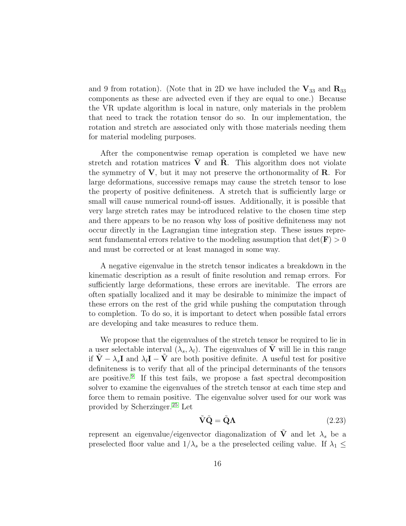and 9 from rotation). (Note that in 2D we have included the  $V_{33}$  and  $R_{33}$ components as these are advected even if they are equal to one.) Because the VR update algorithm is local in nature, only materials in the problem that need to track the rotation tensor do so. In our implementation, the rotation and stretch are associated only with those materials needing them for material modeling purposes.

After the componentwise remap operation is completed we have new stretch and rotation matrices  $V$  and  $R$ . This algorithm does not violate the symmetry of  $V$ , but it may not preserve the orthonormality of  $R$ . For large deformations, successive remaps may cause the stretch tensor to lose the property of positive definiteness. A stretch that is sufficiently large or small will cause numerical round-off issues. Additionally, it is possible that very large stretch rates may be introduced relative to the chosen time step and there appears to be no reason why loss of positive definiteness may not occur directly in the Lagrangian time integration step. These issues represent fundamental errors relative to the modeling assumption that  $\det(\mathbf{F}) > 0$ and must be corrected or at least managed in some way.

A negative eigenvalue in the stretch tensor indicates a breakdown in the kinematic description as a result of finite resolution and remap errors. For sufficiently large deformations, these errors are inevitable. The errors are often spatially localized and it may be desirable to minimize the impact of these errors on the rest of the grid while pushing the computation through to completion. To do so, it is important to detect when possible fatal errors are developing and take measures to reduce them.

We propose that the eigenvalues of the stretch tensor be required to lie in a user selectable interval  $(\lambda_s, \lambda_l)$ . The eigenvalues of  $\tilde{V}$  will lie in this range if  $\tilde{\mathbf{V}} - \lambda_s \mathbf{I}$  and  $\lambda_l \mathbf{I} - \tilde{\mathbf{V}}$  are both positive definite. A useful test for positive definiteness is to verify that all of the principal determinants of the tensors are positive.[9](#page-52-4) If this test fails, we propose a fast spectral decomposition solver to examine the eigenvalues of the stretch tensor at each time step and force them to remain positive. The eigenvalue solver used for our work was provided by Scherzinger.[25](#page-54-8) Let

$$
\tilde{\mathbf{V}}\tilde{\mathbf{Q}} = \tilde{\mathbf{Q}}\Lambda \tag{2.23}
$$

represent an eigenvalue/eigenvector diagonalization of **V** and let  $\lambda_s$  be a preselected floor value and  $1/\lambda_s$  be a the preselected ceiling value. If  $\lambda_1 \leq$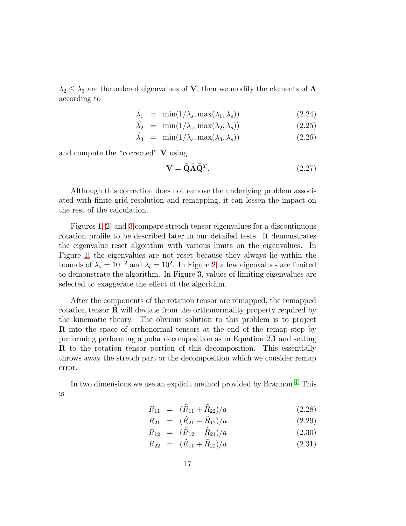$\lambda_2 \leq \lambda_3$  are the ordered eigenvalues of **V**, then we modify the elements of  $\Lambda$ according to

$$
\hat{\lambda}_1 = \min(1/\lambda_s, \max(\lambda_1, \lambda_s)) \tag{2.24}
$$

$$
\hat{\lambda}_2 = \min(1/\lambda_s, \max(\lambda_2, \lambda_s)) \tag{2.25}
$$

$$
\hat{\lambda}_3 = \min(1/\lambda_s, \max(\lambda_3, \lambda_s)) \tag{2.26}
$$

and compute the "corrected" V using

$$
\mathbf{V} = \tilde{\mathbf{Q}} \hat{\mathbf{\Lambda}} \tilde{\mathbf{Q}}^T. \tag{2.27}
$$

Although this correction does not remove the underlying problem associated with finite grid resolution and remapping, it can lessen the impact on the rest of the calculation.

Figures [1,](#page-17-0) [2,](#page-18-0) and [3](#page-19-0) compare stretch tensor eigenvalues for a discontinuous rotation profile to be described later in our detailed tests. It demonstrates the eigenvalue reset algorithm with various limits on the eigenvalues. In Figure [1,](#page-17-0) the eigenvalues are not reset because they always lie within the bounds of  $\lambda_s = 10^{-2}$  and  $\lambda_l = 10^2$ . In Figure [2,](#page-18-0) a few eigenvalues are limited to demonstrate the algorithm. In Figure [3,](#page-19-0) values of limiting eigenvalues are selected to exaggerate the effect of the algorithm.

After the components of the rotation tensor are remapped, the remapped rotation tensor  $\bf R$  will deviate from the orthonormality property required by the kinematic theory. The obvious solution to this problem is to project R into the space of orthonormal tensors at the end of the remap step by performing performing a polar decomposition as in Equation [2.1](#page-11-2) and setting R to the rotation tensor portion of this decomposition. This essentially throws away the stretch part or the decomposition which we consider remap error.

In two dimensions we use an explicit method provided by Brannon.[4](#page-52-3) This is

$$
R_{11} = (\tilde{R}_{11} + \tilde{R}_{22})/a \tag{2.28}
$$

$$
R_{21} = (\tilde{R}_{21} - \tilde{R}_{12})/a \qquad (2.29)
$$

$$
R_{12} = (\tilde{R}_{12} - \tilde{R}_{21})/a \tag{2.30}
$$

$$
R_{22} = (\tilde{R}_{11} + \tilde{R}_{22})/a \tag{2.31}
$$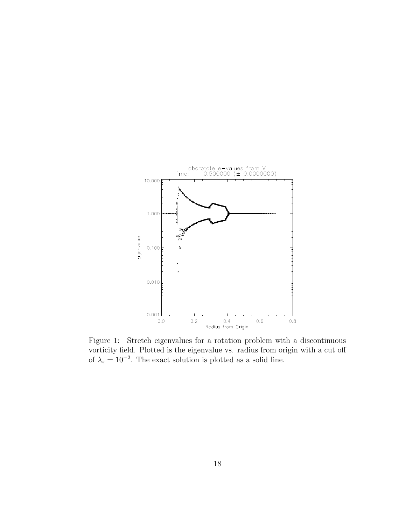

<span id="page-17-0"></span>Figure 1: Stretch eigenvalues for a rotation problem with a discontinuous vorticity field. Plotted is the eigenvalue vs. radius from origin with a cut off of  $\lambda_s = 10^{-2}$ . The exact solution is plotted as a solid line.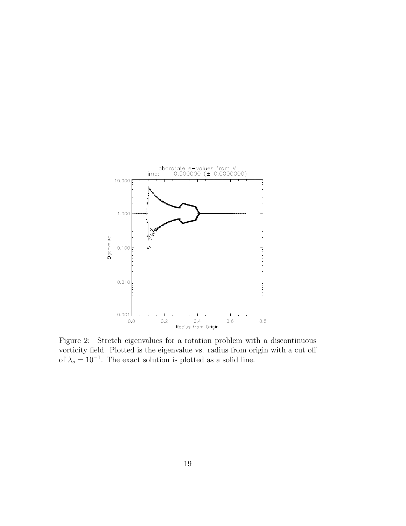

<span id="page-18-0"></span>Figure 2: Stretch eigenvalues for a rotation problem with a discontinuous vorticity field. Plotted is the eigenvalue vs. radius from origin with a cut off of  $\lambda_s = 10^{-1}$ . The exact solution is plotted as a solid line.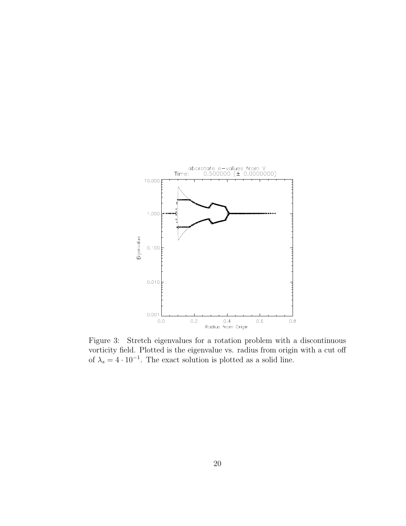

<span id="page-19-0"></span>Figure 3: Stretch eigenvalues for a rotation problem with a discontinuous vorticity field. Plotted is the eigenvalue vs. radius from origin with a cut off of  $\lambda_s = 4 \cdot 10^{-1}$ . The exact solution is plotted as a solid line.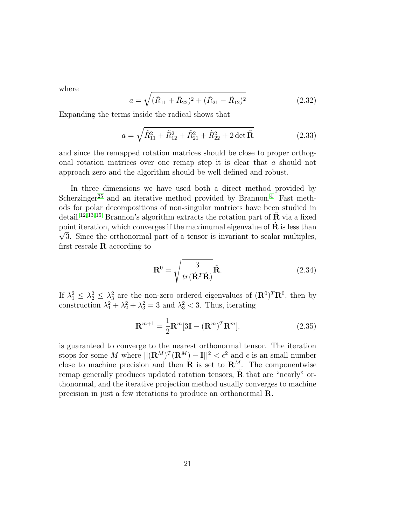where

$$
a = \sqrt{(\tilde{R}_{11} + \tilde{R}_{22})^2 + (\tilde{R}_{21} - \tilde{R}_{12})^2}
$$
 (2.32)

Expanding the terms inside the radical shows that

$$
a = \sqrt{\tilde{R}_{11}^2 + \tilde{R}_{12}^2 + \tilde{R}_{21}^2 + \tilde{R}_{22}^2 + 2 \det \tilde{\mathbf{R}}}
$$
 (2.33)

and since the remapped rotation matrices should be close to proper orthogonal rotation matrices over one remap step it is clear that a should not approach zero and the algorithm should be well defined and robust.

In three dimensions we have used both a direct method provided by Scherzinger<sup>[25](#page-54-8)</sup> and an iterative method provided by Brannon.<sup>[4](#page-52-3)</sup> Fast methods for polar decompositions of non-singular matrices have been studied in detail.<sup>[12,](#page-53-6) [13,](#page-53-7) [15](#page-53-8)</sup> Brannon's algorithm extracts the rotation part of  $\tilde{\mathbf{R}}$  via a fixed point iteration, which converges if the maximumal eigenvalue of  $\tilde{\mathbf{R}}$  is less than  $\sqrt{3}$ . Since the exthenermal part of a tensor is invariant to scalar multiples.  $\sqrt{3}$ . Since the orthonormal part of a tensor is invariant to scalar multiples, first rescale  $\bf{R}$  according to

$$
\mathbf{R}^0 = \sqrt{\frac{3}{tr(\tilde{\mathbf{R}}^T \tilde{\mathbf{R}})}} \tilde{\mathbf{R}}.
$$
 (2.34)

If  $\lambda_1^2 \leq \lambda_2^2 \leq \lambda_3^2$  are the non-zero ordered eigenvalues of  $(\mathbf{R}^0)^T \mathbf{R}^0$ , then by construction  $\lambda_1^2 + \lambda_2^2 + \lambda_3^2 = 3$  and  $\lambda_3^2 < 3$ . Thus, iterating

$$
\mathbf{R}^{m+1} = \frac{1}{2}\mathbf{R}^m[3\mathbf{I} - (\mathbf{R}^m)^T \mathbf{R}^m].
$$
 (2.35)

is guaranteed to converge to the nearest orthonormal tensor. The iteration stops for some M where  $||(\mathbf{R}^M)^T(\mathbf{R}^M) - \mathbf{I}||^2 < \epsilon^2$  and  $\epsilon$  is an small number close to machine precision and then  $\mathbf R$  is set to  $\mathbf R^M$ . The componentwise remap generally produces updated rotation tensors,  $\tilde{\mathbf{R}}$  that are "nearly" orthonormal, and the iterative projection method usually converges to machine precision in just a few iterations to produce an orthonormal R.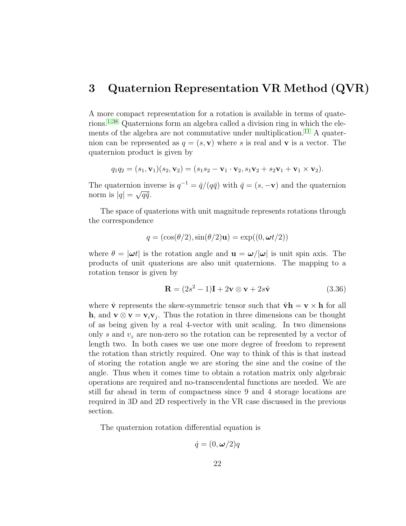### <span id="page-21-0"></span>3 Quaternion Representation VR Method (QVR)

A more compact representation for a rotation is available in terms of quaterions.[1,](#page-52-5) [38](#page-55-6) Quaternions form an algebra called a division ring in which the ele-ments of the algebra are not commutative under multiplication.<sup>[11](#page-53-9)</sup> A quaternion can be represented as  $q = (s, v)$  where s is real and v is a vector. The quaternion product is given by

$$
q_1q_2 = (s_1, \mathbf{v}_1)(s_2, \mathbf{v}_2) = (s_1s_2 - \mathbf{v}_1 \cdot \mathbf{v}_2, s_1\mathbf{v}_2 + s_2\mathbf{v}_1 + \mathbf{v}_1 \times \mathbf{v}_2).
$$

The quaternion inverse is  $q^{-1} = \bar{q}/(q\bar{q})$  with  $\bar{q} = (s, -\mathbf{v})$  and the quaternion norm is  $|q| = \sqrt{q\overline{q}}$ .

The space of quaterions with unit magnitude represents rotations through the correspondence

$$
q = (\cos(\theta/2), \sin(\theta/2)\mathbf{u}) = \exp((0, \omega t/2))
$$

where  $\theta = |\omega t|$  is the rotation angle and  $\mathbf{u} = \omega/|\omega|$  is unit spin axis. The products of unit quaterions are also unit quaternions. The mapping to a rotation tensor is given by

$$
\mathbf{R} = (2s^2 - 1)\mathbf{I} + 2\mathbf{v} \otimes \mathbf{v} + 2s\hat{\mathbf{v}} \tag{3.36}
$$

where  $\hat{\mathbf{v}}$  represents the skew-symmetric tensor such that  $\hat{\mathbf{v}}$ **h** = **v**  $\times$  **h** for all h, and  $\mathbf{v} \otimes \mathbf{v} = \mathbf{v}_i \mathbf{v}_j$ . Thus the rotation in three dimensions can be thought of as being given by a real 4-vector with unit scaling. In two dimensions only s and  $v<sub>z</sub>$  are non-zero so the rotation can be represented by a vector of length two. In both cases we use one more degree of freedom to represent the rotation than strictly required. One way to think of this is that instead of storing the rotation angle we are storing the sine and the cosine of the angle. Thus when it comes time to obtain a rotation matrix only algebraic operations are required and no-transcendental functions are needed. We are still far ahead in term of compactness since 9 and 4 storage locations are required in 3D and 2D respectively in the VR case discussed in the previous section.

The quaternion rotation differential equation is

$$
\dot{q}=(0,\boldsymbol{\omega}/2)q
$$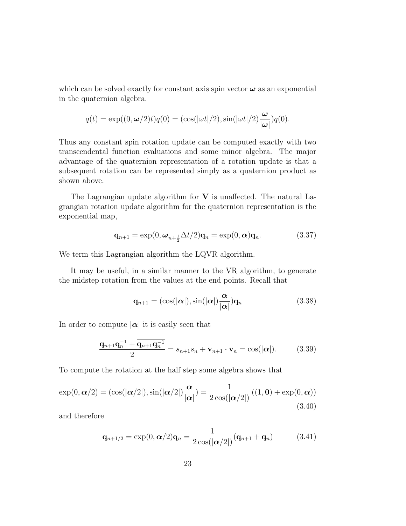which can be solved exactly for constant axis spin vector  $\omega$  as an exponential in the quaternion algebra.

$$
q(t) = \exp((0, \omega/2)t)q(0) = (\cos(|\omega t|/2), \sin(|\omega t|/2)\frac{\omega}{|\omega|})q(0).
$$

Thus any constant spin rotation update can be computed exactly with two transcendental function evaluations and some minor algebra. The major advantage of the quaternion representation of a rotation update is that a subsequent rotation can be represented simply as a quaternion product as shown above.

The Lagrangian update algorithm for  $V$  is unaffected. The natural Lagrangian rotation update algorithm for the quaternion representation is the exponential map,

$$
\mathbf{q}_{n+1} = \exp(0, \omega_{n+\frac{1}{2}}\Delta t/2)\mathbf{q}_n = \exp(0, \alpha)\mathbf{q}_n.
$$
 (3.37)

We term this Lagrangian algorithm the LQVR algorithm.

It may be useful, in a similar manner to the VR algorithm, to generate the midstep rotation from the values at the end points. Recall that

$$
\mathbf{q}_{n+1} = (\cos(|\boldsymbol{\alpha}|), \sin(|\boldsymbol{\alpha}|)\frac{\boldsymbol{\alpha}}{|\boldsymbol{\alpha}|})\mathbf{q}_n \qquad (3.38)
$$

In order to compute  $|\alpha|$  it is easily seen that

$$
\frac{\mathbf{q}_{n+1}\mathbf{q}_n^{-1} + \overline{\mathbf{q}_{n+1}\mathbf{q}_n^{-1}}}{2} = s_{n+1}s_n + \mathbf{v}_{n+1} \cdot \mathbf{v}_n = \cos(|\alpha|). \tag{3.39}
$$

To compute the rotation at the half step some algebra shows that

$$
\exp(0, \alpha/2) = (\cos(|\alpha/2|), \sin(|\alpha/2|))\frac{\alpha}{|\alpha|}) = \frac{1}{2\cos(|\alpha/2|)}((1, 0) + \exp(0, \alpha))
$$
\n(3.40)

and therefore

$$
\mathbf{q}_{n+1/2} = \exp(0, \boldsymbol{\alpha}/2)\mathbf{q}_n = \frac{1}{2\cos(|\boldsymbol{\alpha}/2|)}(\mathbf{q}_{n+1} + \mathbf{q}_n)
$$
(3.41)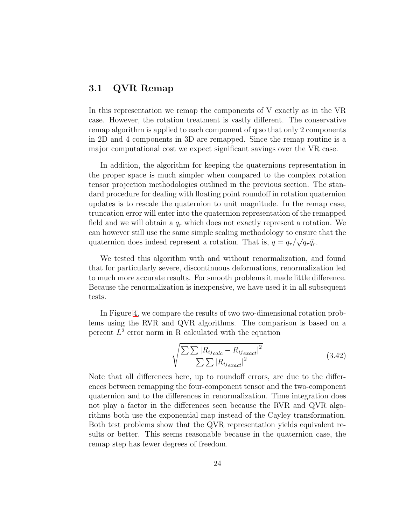#### <span id="page-23-0"></span>3.1 QVR Remap

In this representation we remap the components of V exactly as in the VR case. However, the rotation treatment is vastly different. The conservative remap algorithm is applied to each component of q so that only 2 components in 2D and 4 components in 3D are remapped. Since the remap routine is a major computational cost we expect significant savings over the VR case.

In addition, the algorithm for keeping the quaternions representation in the proper space is much simpler when compared to the complex rotation tensor projection methodologies outlined in the previous section. The standard procedure for dealing with floating point roundoff in rotation quaternion updates is to rescale the quaternion to unit magnitude. In the remap case, truncation error will enter into the quaternion representation of the remapped field and we will obtain a  $q_r$  which does not exactly represent a rotation. We can however still use the same simple scaling methodology to ensure that the quaternion does indeed represent a rotation. That is,  $q = q_r / \sqrt{q_r \bar{q}_r}$ .

We tested this algorithm with and without renormalization, and found that for particularly severe, discontinuous deformations, renormalization led to much more accurate results. For smooth problems it made little difference. Because the renormalization is inexpensive, we have used it in all subsequent tests.

In Figure [4,](#page-24-0) we compare the results of two two-dimensional rotation problems using the RVR and QVR algorithms. The comparison is based on a percent  $L^2$  error norm in R calculated with the equation

$$
\sqrt{\frac{\sum\sum|R_{ij}_{calc} - R_{ij}_{exact}|^2}{\sum\sum|R_{ij}_{exact}|^2}}
$$
(3.42)

Note that all differences here, up to roundoff errors, are due to the differences between remapping the four-component tensor and the two-component quaternion and to the differences in renormalization. Time integration does not play a factor in the differences seen because the RVR and QVR algorithms both use the exponential map instead of the Cayley transformation. Both test problems show that the QVR representation yields equivalent results or better. This seems reasonable because in the quaternion case, the remap step has fewer degrees of freedom.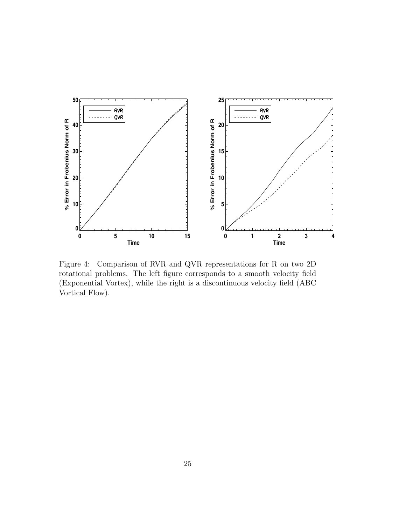

<span id="page-24-0"></span>Figure 4: Comparison of RVR and QVR representations for R on two 2D rotational problems. The left figure corresponds to a smooth velocity field (Exponential Vortex), while the right is a discontinuous velocity field (ABC Vortical Flow).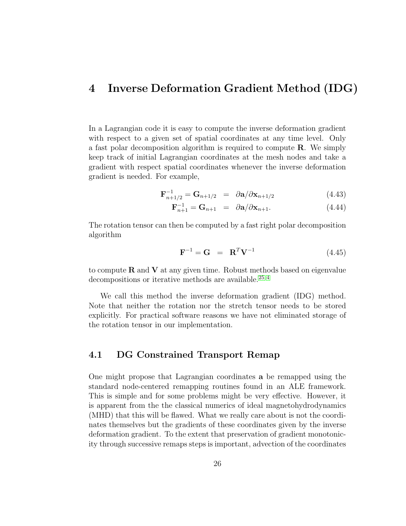#### <span id="page-25-0"></span>4 Inverse Deformation Gradient Method (IDG)

In a Lagrangian code it is easy to compute the inverse deformation gradient with respect to a given set of spatial coordinates at any time level. Only a fast polar decomposition algorithm is required to compute R. We simply keep track of initial Lagrangian coordinates at the mesh nodes and take a gradient with respect spatial coordinates whenever the inverse deformation gradient is needed. For example,

$$
\mathbf{F}_{n+1/2}^{-1} = \mathbf{G}_{n+1/2} = \partial \mathbf{a}/\partial \mathbf{x}_{n+1/2}
$$
 (4.43)

$$
\mathbf{F}_{n+1}^{-1} = \mathbf{G}_{n+1} = \partial \mathbf{a} / \partial \mathbf{x}_{n+1}.
$$
 (4.44)

The rotation tensor can then be computed by a fast right polar decomposition algorithm

$$
\mathbf{F}^{-1} = \mathbf{G} = \mathbf{R}^T \mathbf{V}^{-1} \tag{4.45}
$$

to compute  $R$  and  $V$  at any given time. Robust methods based on eigenvalue decompositions or iterative methods are available.<sup>[25,](#page-54-8)[4](#page-52-3)</sup>

We call this method the inverse deformation gradient (IDG) method. Note that neither the rotation nor the stretch tensor needs to be stored explicitly. For practical software reasons we have not eliminated storage of the rotation tensor in our implementation.

#### <span id="page-25-1"></span>4.1 DG Constrained Transport Remap

One might propose that Lagrangian coordinates a be remapped using the standard node-centered remapping routines found in an ALE framework. This is simple and for some problems might be very effective. However, it is apparent from the the classical numerics of ideal magnetohydrodynamics (MHD) that this will be flawed. What we really care about is not the coordinates themselves but the gradients of these coordinates given by the inverse deformation gradient. To the extent that preservation of gradient monotonicity through successive remaps steps is important, advection of the coordinates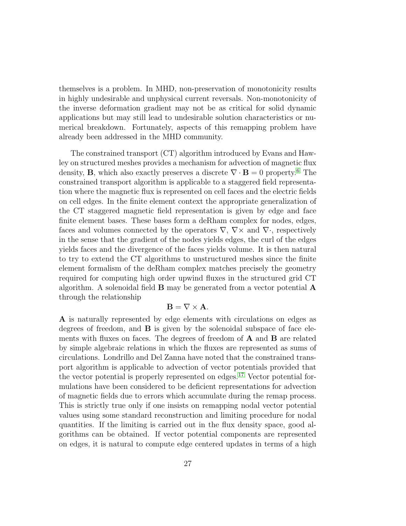themselves is a problem. In MHD, non-preservation of monotonicity results in highly undesirable and unphysical current reversals. Non-monotonicity of the inverse deformation gradient may not be as critical for solid dynamic applications but may still lead to undesirable solution characteristics or numerical breakdown. Fortunately, aspects of this remapping problem have already been addressed in the MHD community.

The constrained transport (CT) algorithm introduced by Evans and Hawley on structured meshes provides a mechanism for advection of magnetic flux density, **B**, which also exactly preserves a discrete  $\nabla \cdot \mathbf{B} = 0$  property.<sup>[6](#page-52-6)</sup> The constrained transport algorithm is applicable to a staggered field representation where the magnetic flux is represented on cell faces and the electric fields on cell edges. In the finite element context the appropriate generalization of the CT staggered magnetic field representation is given by edge and face finite element bases. These bases form a deRham complex for nodes, edges, faces and volumes connected by the operators  $\nabla$ ,  $\nabla$  and  $\nabla$ . respectively in the sense that the gradient of the nodes yields edges, the curl of the edges yields faces and the divergence of the faces yields volume. It is then natural to try to extend the CT algorithms to unstructured meshes since the finite element formalism of the deRham complex matches precisely the geometry required for computing high order upwind fluxes in the structured grid CT algorithm. A solenoidal field B may be generated from a vector potential A through the relationship

#### $\mathbf{B} = \nabla \times \mathbf{A}$ .

A is naturally represented by edge elements with circulations on edges as degrees of freedom, and  $\bf{B}$  is given by the solenoidal subspace of face elements with fluxes on faces. The degrees of freedom of A and B are related by simple algebraic relations in which the fluxes are represented as sums of circulations. Londrillo and Del Zanna have noted that the constrained transport algorithm is applicable to advection of vector potentials provided that the vector potential is properly represented on edges.[17](#page-53-10) Vector potential formulations have been considered to be deficient representations for advection of magnetic fields due to errors which accumulate during the remap process. This is strictly true only if one insists on remapping nodal vector potential values using some standard reconstruction and limiting procedure for nodal quantities. If the limiting is carried out in the flux density space, good algorithms can be obtained. If vector potential components are represented on edges, it is natural to compute edge centered updates in terms of a high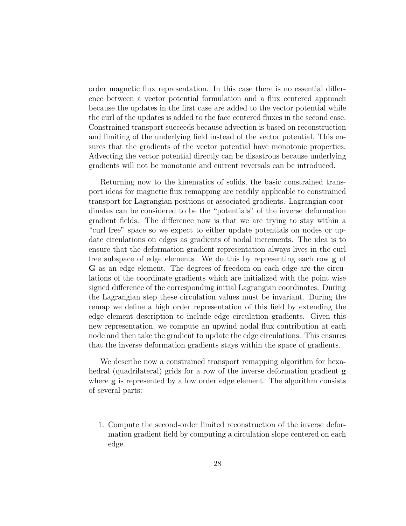order magnetic flux representation. In this case there is no essential difference between a vector potential formulation and a flux centered approach because the updates in the first case are added to the vector potential while the curl of the updates is added to the face centered fluxes in the second case. Constrained transport succeeds because advection is based on reconstruction and limiting of the underlying field instead of the vector potential. This ensures that the gradients of the vector potential have monotonic properties. Advecting the vector potential directly can be disastrous because underlying gradients will not be monotonic and current reversals can be introduced.

Returning now to the kinematics of solids, the basic constrained transport ideas for magnetic flux remapping are readily applicable to constrained transport for Lagrangian positions or associated gradients. Lagrangian coordinates can be considered to be the "potentials" of the inverse deformation gradient fields. The difference now is that we are trying to stay within a "curl free" space so we expect to either update potentials on nodes or update circulations on edges as gradients of nodal increments. The idea is to ensure that the deformation gradient representation always lives in the curl free subspace of edge elements. We do this by representing each row g of G as an edge element. The degrees of freedom on each edge are the circulations of the coordinate gradients which are initialized with the point wise signed difference of the corresponding initial Lagrangian coordinates. During the Lagrangian step these circulation values must be invariant. During the remap we define a high order representation of this field by extending the edge element description to include edge circulation gradients. Given this new representation, we compute an upwind nodal flux contribution at each node and then take the gradient to update the edge circulations. This ensures that the inverse deformation gradients stays within the space of gradients.

We describe now a constrained transport remapping algorithm for hexahedral (quadrilateral) grids for a row of the inverse deformation gradient **g** where **g** is represented by a low order edge element. The algorithm consists of several parts:

1. Compute the second-order limited reconstruction of the inverse deformation gradient field by computing a circulation slope centered on each edge.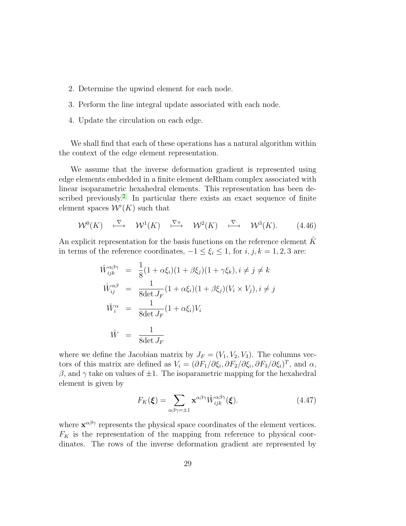- 2. Determine the upwind element for each node.
- 3. Perform the line integral update associated with each node.
- 4. Update the circulation on each edge.

We shall find that each of these operations has a natural algorithm within the context of the edge element representation.

We assume that the inverse deformation gradient is represented using edge elements embedded in a finite element deRham complex associated with linear isoparametric hexahedral elements. This representation has been described previously. [2](#page-52-7) In particular there exists an exact sequence of finite element spaces  $\mathcal{W}^i(K)$  such that

$$
\mathcal{W}^0(K) \quad \stackrel{\nabla}{\longmapsto} \quad \mathcal{W}^1(K) \quad \stackrel{\nabla \times}{\longmapsto} \quad \mathcal{W}^2(K) \quad \stackrel{\nabla}{\longmapsto} \quad \mathcal{W}^3(K). \tag{4.46}
$$

An explicit representation for the basis functions on the reference element  $\hat{K}$ in terms of the reference coordinates,  $-1 \le \xi_i \le 1$ , for  $i, j, k = 1, 2, 3$  are:

$$
\hat{W}_{ijk}^{\alpha\beta\gamma} = \frac{1}{8}(1 + \alpha\xi_i)(1 + \beta\xi_j)(1 + \gamma\xi_k), i \neq j \neq k
$$
\n
$$
\hat{W}_{ij}^{\alpha\beta} = \frac{1}{8\det J_F}(1 + \alpha\xi_i)(1 + \beta\xi_j)(V_i \times V_j), i \neq j
$$
\n
$$
\hat{W}_i^{\alpha} = \frac{1}{8\det J_F}(1 + \alpha\xi_i)V_i
$$
\n
$$
\hat{W} = \frac{1}{8\det J_F}
$$

where we define the Jacobian matrix by  $J_F = (V_1, V_2, V_3)$ . The columns vectors of this matrix are defined as  $V_i = (\partial F_1/\partial \xi_i, \partial F_2/\partial \xi_i, \partial F_3/\partial \xi_i)^T$ , and  $\alpha$ ,  $β$ , and γ take on values of  $±1$ . The isoparametric mapping for the hexahedral element is given by

$$
F_K(\boldsymbol{\xi}) = \sum_{\alpha\beta\gamma=\pm 1} \mathbf{x}^{\alpha\beta\gamma} \hat{W}_{ijk}^{\alpha\beta\gamma}(\boldsymbol{\xi}).
$$
\n(4.47)

where  $\mathbf{x}^{\alpha\beta\gamma}$  represents the physical space coordinates of the element vertices.  $F_K$  is the representation of the mapping from reference to physical coordinates. The rows of the inverse deformation gradient are represented by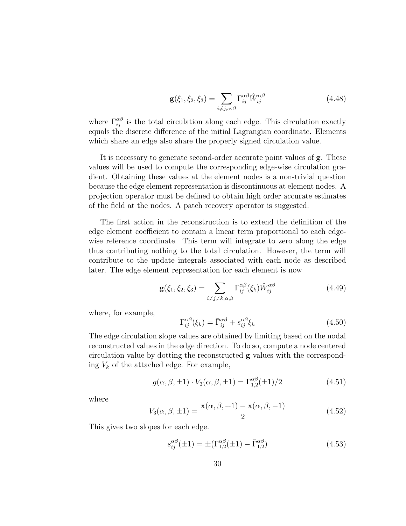$$
\mathbf{g}(\xi_1, \xi_2, \xi_3) = \sum_{i \neq j, \alpha, \beta} \Gamma_{ij}^{\alpha \beta} \hat{W}_{ij}^{\alpha \beta} \tag{4.48}
$$

where  $\Gamma_{ij}^{\alpha\beta}$  is the total circulation along each edge. This circulation exactly equals the discrete difference of the initial Lagrangian coordinate. Elements which share an edge also share the properly signed circulation value.

It is necessary to generate second-order accurate point values of g. These values will be used to compute the corresponding edge-wise circulation gradient. Obtaining these values at the element nodes is a non-trivial question because the edge element representation is discontinuous at element nodes. A projection operator must be defined to obtain high order accurate estimates of the field at the nodes. A patch recovery operator is suggested.

The first action in the reconstruction is to extend the definition of the edge element coefficient to contain a linear term proportional to each edgewise reference coordinate. This term will integrate to zero along the edge thus contributing nothing to the total circulation. However, the term will contribute to the update integrals associated with each node as described later. The edge element representation for each element is now

$$
\mathbf{g}(\xi_1, \xi_2, \xi_3) = \sum_{i \neq j \neq k, \alpha, \beta} \Gamma_{ij}^{\alpha \beta}(\xi_k) \hat{W}_{ij}^{\alpha \beta} \tag{4.49}
$$

where, for example,

<span id="page-29-0"></span>
$$
\Gamma_{ij}^{\alpha\beta}(\xi_k) = \bar{\Gamma}_{ij}^{\alpha\beta} + s_{ij}^{\alpha\beta}\xi_k
$$
\n(4.50)

The edge circulation slope values are obtained by limiting based on the nodal reconstructed values in the edge direction. To do so, compute a node centered circulation value by dotting the reconstructed  $g$  values with the corresponding  $V_k$  of the attached edge. For example,

$$
g(\alpha, \beta, \pm 1) \cdot V_3(\alpha, \beta, \pm 1) = \Gamma_{1,2}^{\alpha\beta}(\pm 1)/2
$$
 (4.51)

where

$$
V_3(\alpha, \beta, \pm 1) = \frac{\mathbf{x}(\alpha, \beta, +1) - \mathbf{x}(\alpha, \beta, -1)}{2}
$$
(4.52)

This gives two slopes for each edge.

$$
s_{ij}^{\alpha\beta}(\pm 1) = \pm (\Gamma_{1,2}^{\alpha\beta}(\pm 1) - \bar{\Gamma}_{1,2}^{\alpha\beta})
$$
\n(4.53)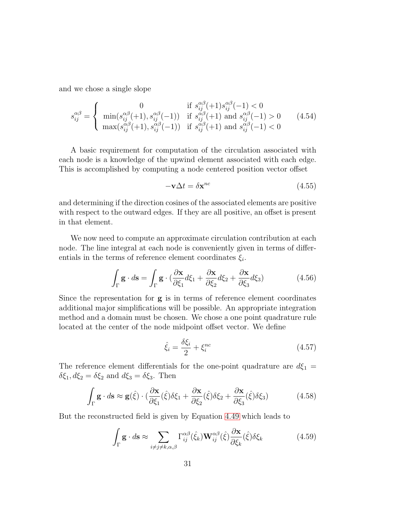and we chose a single slope

$$
s_{ij}^{\alpha\beta} = \begin{cases} 0 & \text{if } s_{ij}^{\alpha\beta}(+1) s_{ij}^{\alpha\beta}(-1) < 0\\ \min(s_{ij}^{\alpha\beta}(+1), s_{ij}^{\alpha\beta}(-1)) & \text{if } s_{ij}^{\alpha\beta}(+1) \text{ and } s_{ij}^{\alpha\beta}(-1) > 0\\ \max(s_{ij}^{\alpha\beta}(+1), s_{ij}^{\alpha\beta}(-1)) & \text{if } s_{ij}^{\alpha\beta}(+1) \text{ and } s_{ij}^{\alpha\beta}(-1) < 0 \end{cases} (4.54)
$$

A basic requirement for computation of the circulation associated with each node is a knowledge of the upwind element associated with each edge. This is accomplished by computing a node centered position vector offset

$$
-\mathbf{v}\Delta t = \delta \mathbf{x}^{nc} \tag{4.55}
$$

and determining if the direction cosines of the associated elements are positive with respect to the outward edges. If they are all positive, an offset is present in that element.

We now need to compute an approximate circulation contribution at each node. The line integral at each node is conveniently given in terms of differentials in the terms of reference element coordinates  $\xi_i$ .

$$
\int_{\Gamma} \mathbf{g} \cdot d\mathbf{s} = \int_{\Gamma} \mathbf{g} \cdot \left( \frac{\partial \mathbf{x}}{\partial \xi_1} d\xi_1 + \frac{\partial \mathbf{x}}{\partial \xi_2} d\xi_2 + \frac{\partial \mathbf{x}}{\partial \xi_3} d\xi_3 \right) \tag{4.56}
$$

Since the representation for  $g$  is in terms of reference element coordinates additional major simplifications will be possible. An appropriate integration method and a domain must be chosen. We chose a one point quadrature rule located at the center of the node midpoint offset vector. We define

$$
\hat{\xi}_i = \frac{\delta \xi_i}{2} + \xi_i^{nc} \tag{4.57}
$$

The reference element differentials for the one-point quadrature are  $d\xi_1$  =  $\delta \xi_1, d\xi_2 = \delta \xi_2$  and  $d\xi_3 = \delta \xi_3$ . Then

$$
\int_{\Gamma} \mathbf{g} \cdot d\mathbf{s} \approx \mathbf{g}(\hat{\xi}) \cdot \left(\frac{\partial \mathbf{x}}{\partial \xi_1}(\hat{\xi}) \delta \xi_1 + \frac{\partial \mathbf{x}}{\partial \xi_2}(\hat{\xi}) \delta \xi_2 + \frac{\partial \mathbf{x}}{\partial \xi_3}(\hat{\xi}) \delta \xi_3\right) \tag{4.58}
$$

But the reconstructed field is given by Equation [4.49](#page-29-0) which leads to

$$
\int_{\Gamma} \mathbf{g} \cdot d\mathbf{s} \approx \sum_{i \neq j \neq k, \alpha, \beta} \Gamma_{ij}^{\alpha\beta}(\hat{\xi}_k) \mathbf{W}_{ij}^{\alpha\beta}(\hat{\xi}) \frac{\partial \mathbf{x}}{\partial \xi_k}(\hat{\xi}) \delta \xi_k
$$
\n(4.59)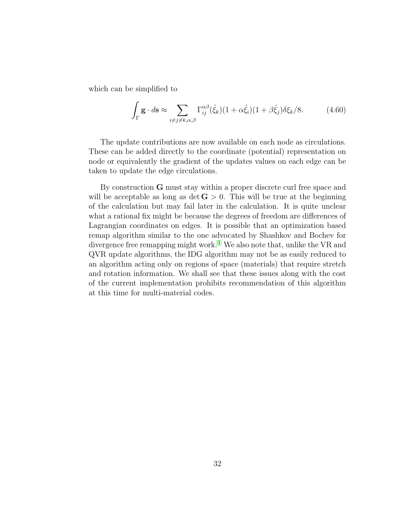which can be simplified to

$$
\int_{\Gamma} \mathbf{g} \cdot d\mathbf{s} \approx \sum_{i \neq j \neq k, \alpha, \beta} \Gamma_{ij}^{\alpha\beta}(\hat{\xi}_k)(1 + \alpha \hat{\xi}_i)(1 + \beta \hat{\xi}_j)\delta \xi_k/8.
$$
 (4.60)

The update contributions are now available on each node as circulations. These can be added directly to the coordinate (potential) representation on node or equivalently the gradient of the updates values on each edge can be taken to update the edge circulations.

By construction G must stay within a proper discrete curl free space and will be acceptable as long as det  $G > 0$ . This will be true at the beginning of the calculation but may fail later in the calculation. It is quite unclear what a rational fix might be because the degrees of freedom are differences of Lagrangian coordinates on edges. It is possible that an optimization based remap algorithm similar to the one advocated by Shashkov and Bochev for divergence free remapping might work.<sup>[3](#page-52-8)</sup> We also note that, unlike the VR and QVR update algorithms, the IDG algorithm may not be as easily reduced to an algorithm acting only on regions of space (materials) that require stretch and rotation information. We shall see that these issues along with the cost of the current implementation prohibits recommendation of this algorithm at this time for multi-material codes.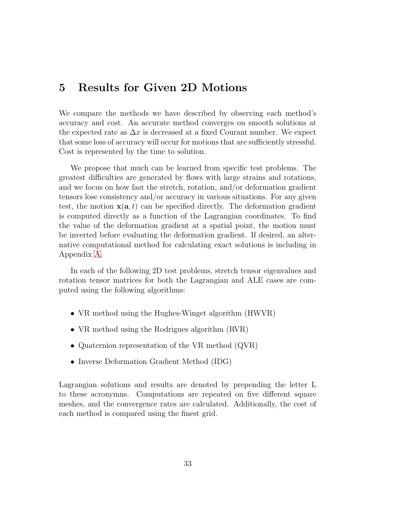## <span id="page-32-0"></span>5 Results for Given 2D Motions

We compare the methods we have described by observing each method's accuracy and cost. An accurate method converges on smooth solutions at the expected rate as  $\Delta x$  is decreased at a fixed Courant number. We expect that some loss of accuracy will occur for motions that are sufficiently stressful. Cost is represented by the time to solution.

We propose that much can be learned from specific test problems. The greatest difficulties are generated by flows with large strains and rotations, and we focus on how fast the stretch, rotation, and/or deformation gradient tensors lose consistency and/or accuracy in various situations. For any given test, the motion  $\mathbf{x}(\mathbf{a},t)$  can be specified directly. The deformation gradient is computed directly as a function of the Lagrangian coordinates. To find the value of the deformation gradient at a spatial point, the motion must be inverted before evaluating the deformation gradient. If desired, an alternative computational method for calculating exact solutions is including in Appendix [A.](#page-56-0)

In each of the following 2D test problems, stretch tensor eigenvalues and rotation tensor matrices for both the Lagrangian and ALE cases are computed using the following algorithms:

- VR method using the Hughes-Winget algorithm (HWVR)
- VR method using the Rodrigues algorithm (RVR)
- Quaternion representation of the VR method (QVR)
- Inverse Deformation Gradient Method (IDG)

Lagrangian solutions and results are denoted by prepending the letter L to these acronymns. Computations are repeated on five different square meshes, and the convergence rates are calculated. Additionally, the cost of each method is compared using the finest grid.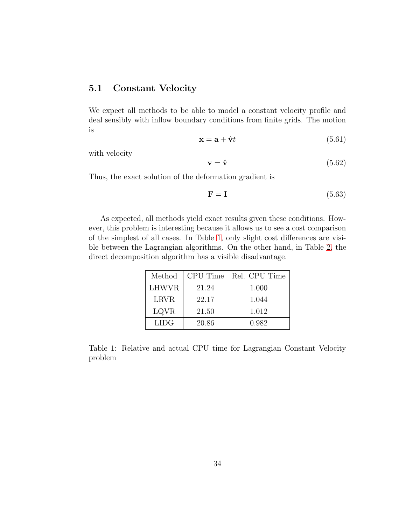#### <span id="page-33-0"></span>5.1 Constant Velocity

We expect all methods to be able to model a constant velocity profile and deal sensibly with inflow boundary conditions from finite grids. The motion is

$$
\mathbf{x} = \mathbf{a} + \hat{\mathbf{v}}t \tag{5.61}
$$

with velocity

$$
\mathbf{v} = \hat{\mathbf{v}} \tag{5.62}
$$

Thus, the exact solution of the deformation gradient is

$$
\mathbf{F} = \mathbf{I} \tag{5.63}
$$

As expected, all methods yield exact results given these conditions. However, this problem is interesting because it allows us to see a cost comparison of the simplest of all cases. In Table [1,](#page-33-1) only slight cost differences are visible between the Lagrangian algorithms. On the other hand, in Table [2,](#page-34-1) the direct decomposition algorithm has a visible disadvantage.

| Method       | CPU Time | Rel. CPU Time |
|--------------|----------|---------------|
| <b>LHWVR</b> | 21.24    | 1.000         |
| <b>LRVR</b>  | 22.17    | 1.044         |
| LQVR         | 21.50    | 1.012         |
| <b>LIDG</b>  | 20.86    | 0.982         |

<span id="page-33-1"></span>Table 1: Relative and actual CPU time for Lagrangian Constant Velocity problem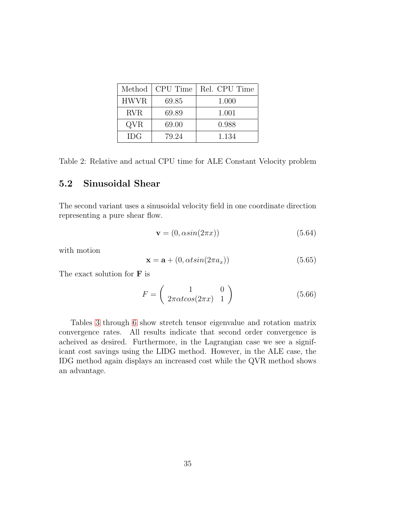| Method      | CPU Time | Rel. CPU Time |
|-------------|----------|---------------|
| <b>HWVR</b> | 69.85    | 1.000         |
| <b>RVR</b>  | 69.89    | 1.001         |
| QVR         | 69.00    | 0.988         |
| <b>IDG</b>  | 79.24    | 1.134         |

<span id="page-34-1"></span>Table 2: Relative and actual CPU time for ALE Constant Velocity problem

#### <span id="page-34-0"></span>5.2 Sinusoidal Shear

The second variant uses a sinusoidal velocity field in one coordinate direction representing a pure shear flow.

$$
\mathbf{v} = (0, \alpha \sin(2\pi x)) \tag{5.64}
$$

with motion

$$
\mathbf{x} = \mathbf{a} + (0, \alpha t \sin(2\pi a_x)) \tag{5.65}
$$

The exact solution for  $\bf{F}$  is

$$
F = \left(\begin{array}{cc} 1 & 0\\ 2\pi \alpha t \cos(2\pi x) & 1 \end{array}\right) \tag{5.66}
$$

Tables [3](#page-35-0) through [6](#page-36-0) show stretch tensor eigenvalue and rotation matrix convergence rates. All results indicate that second order convergence is acheived as desired. Furthermore, in the Lagrangian case we see a significant cost savings using the LIDG method. However, in the ALE case, the IDG method again displays an increased cost while the QVR method shows an advantage.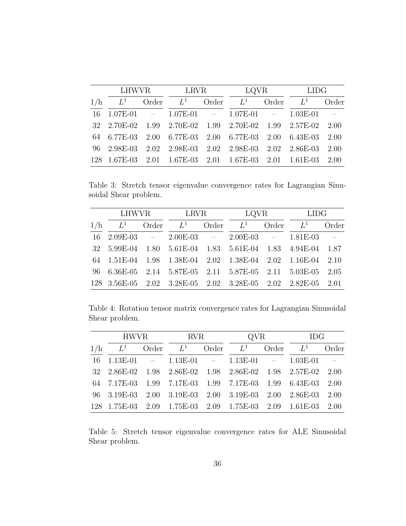|     |                                                                    | LHWVR LRVR | LQVR LIDG |  |      |
|-----|--------------------------------------------------------------------|------------|-----------|--|------|
| 1/h | $L^1$ Order $L^1$ Order $L^1$ Order $L^1$ Order                    |            |           |  |      |
|     | $16$ $1.07E-01$ - $1.07E-01$ - $1.07E-01$ - $1.03E-01$ -           |            |           |  |      |
|     | 32  2.70E-02  1.99  2.70E-02  1.99  2.70E-02  1.99  2.57E-02  2.00 |            |           |  |      |
|     | 64 6.77E-03 2.00 6.77E-03 2.00 6.77E-03 2.00 6.43E-03 2.00         |            |           |  |      |
|     | 96 2.98E-03 2.02 2.98E-03 2.02 2.98E-03 2.02 2.86E-03              |            |           |  | 2.00 |
|     | 128 1.67E-03 2.01 1.67E-03 2.01 1.67E-03 2.01 1.61E-03 2.00        |            |           |  |      |

<span id="page-35-0"></span>Table 3: Stretch tensor eigenvalue convergence rates for Lagrangian Sinusoidal Shear problem.

|     |                               | LHWVR LRVR |  | LQVR LIDG                                                          |  |
|-----|-------------------------------|------------|--|--------------------------------------------------------------------|--|
| 1/h | $L^1$ Order $L^1$ Order $L^1$ |            |  | Order $L^1$ Order                                                  |  |
|     |                               |            |  | $16 \quad 2.09E-03 = 2.00E-03 = 2.00E-03 = 1.81E-03 =$             |  |
|     |                               |            |  | 32 5.99E-04 1.80 5.61E-04 1.83 5.61E-04 1.83 4.94E-04 1.87         |  |
|     |                               |            |  | 64  1.51E-04  1.98  1.38E-04  2.02  1.38E-04  2.02  1.16E-04  2.10 |  |
|     |                               |            |  | 96 6.36E-05 2.14 5.87E-05 2.11 5.87E-05 2.11 5.03E-05 2.05         |  |
|     |                               |            |  | 128 3.56E-05 2.02 3.28E-05 2.02 3.28E-05 2.02 2.82E-05 2.01        |  |

<span id="page-35-1"></span>Table 4: Rotation tensor matrix convergence rates for Lagrangian Sinusoidal Shear problem.

|     |  | HWVR RVR QVR IDG                                                   |  |  |  |
|-----|--|--------------------------------------------------------------------|--|--|--|
| 1/h |  | $L^1$ Order $L^1$ Order $L^1$ Order $L^1$ Order                    |  |  |  |
|     |  | $16$ $1.13E-01$ - $1.13E-01$ - $1.13E-01$ - $1.03E-01$ -           |  |  |  |
|     |  | 32  2.86E-02  1.98  2.86E-02  1.98  2.86E-02  1.98  2.57E-02  2.00 |  |  |  |
|     |  | 64 7.17E-03 1.99 7.17E-03 1.99 7.17E-03 1.99 6.43E-03 2.00         |  |  |  |
|     |  | 96 3.19E-03 2.00 3.19E-03 2.00 3.19E-03 2.00 2.86E-03 2.00         |  |  |  |
|     |  | 128 1.75E-03 2.09 1.75E-03 2.09 1.75E-03 2.09 1.61E-03 2.00        |  |  |  |

<span id="page-35-2"></span>Table 5: Stretch tensor eigenvalue convergence rates for ALE Sinusoidal Shear problem.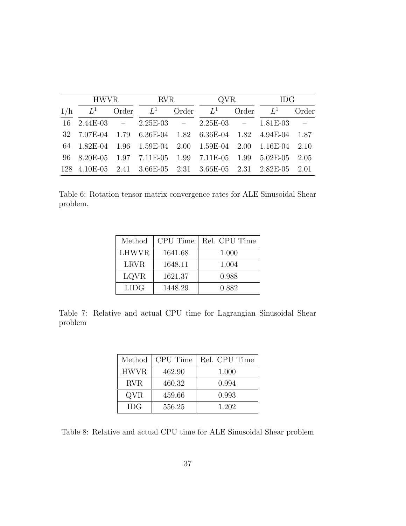|     |                                                             |  | HWVR RVR |  | QVR |  | IDG         |                             |
|-----|-------------------------------------------------------------|--|----------|--|-----|--|-------------|-----------------------------|
| 1/h | $L^1$ Order $L^1$ Order $L^1$                               |  |          |  |     |  | Order $L^1$ | Order                       |
|     | $16 \quad 2.44E-03 = 2.25E-03 = 2.25E-03 = 1.81E-03$        |  |          |  |     |  |             | $\mathcal{L} = \mathcal{L}$ |
|     | 32 7.07E-04 1.79 6.36E-04 1.82 6.36E-04 1.82 4.94E-04 1.87  |  |          |  |     |  |             |                             |
|     | 64 1.82E-04 1.96 1.59E-04 2.00 1.59E-04 2.00 1.16E-04 2.10  |  |          |  |     |  |             |                             |
|     | 96 8.20E-05 1.97 7.11E-05 1.99 7.11E-05 1.99 5.02E-05 2.05  |  |          |  |     |  |             |                             |
|     | 128 4.10E-05 2.41 3.66E-05 2.31 3.66E-05 2.31 2.82E-05 2.01 |  |          |  |     |  |             |                             |

<span id="page-36-0"></span>Table 6: Rotation tensor matrix convergence rates for ALE Sinusoidal Shear problem.

| Method      | CPU Time | Rel. CPU Time |
|-------------|----------|---------------|
| LHWVR       | 1641.68  | 1.000         |
| <b>LRVR</b> | 1648.11  | 1.004         |
| <b>LQVR</b> | 1621.37  | 0.988         |
| <b>LIDG</b> | 1448.29  | 0.882         |

<span id="page-36-1"></span>Table 7: Relative and actual CPU time for Lagrangian Sinusoidal Shear problem

| Method      | CPU Time | Rel. CPU Time |
|-------------|----------|---------------|
| <b>HWVR</b> | 462.90   | 1.000         |
| <b>RVR</b>  | 460.32   | 0.994         |
| QVR         | 459.66   | 0.993         |
| <b>IDG</b>  | 556.25   | 1.202         |

<span id="page-36-2"></span>Table 8: Relative and actual CPU time for ALE Sinusoidal Shear problem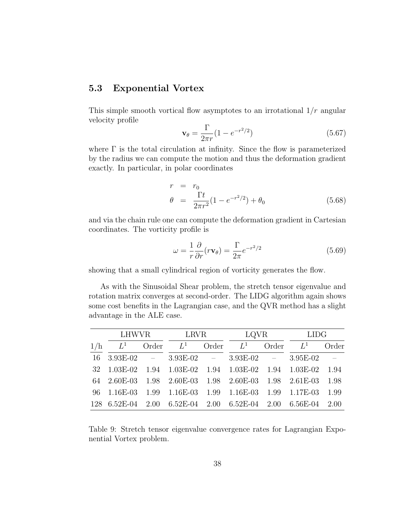#### <span id="page-37-0"></span>5.3 Exponential Vortex

This simple smooth vortical flow asymptotes to an irrotational  $1/r$  angular velocity profile

$$
\mathbf{v}_{\theta} = \frac{\Gamma}{2\pi r} (1 - e^{-r^2/2})
$$
 (5.67)

where  $\Gamma$  is the total circulation at infinity. Since the flow is parameterized by the radius we can compute the motion and thus the deformation gradient exactly. In particular, in polar coordinates

$$
r = r_0
$$
  
\n
$$
\theta = \frac{\Gamma t}{2\pi r^2} (1 - e^{-r^2/2}) + \theta_0
$$
 (5.68)

and via the chain rule one can compute the deformation gradient in Cartesian coordinates. The vorticity profile is

$$
\omega = \frac{1}{r} \frac{\partial}{\partial r} (r \mathbf{v}_{\theta}) = \frac{\Gamma}{2\pi} e^{-r^2/2}
$$
\n(5.69)

showing that a small cylindrical region of vorticity generates the flow.

As with the Sinusoidal Shear problem, the stretch tensor eigenvalue and rotation matrix converges at second-order. The LIDG algorithm again shows some cost benefits in the Lagrangian case, and the QVR method has a slight advantage in the ALE case.

|     | LHWVR      |       | LRVR                                                  |       | LQVR  |       | <b>LIDG</b>                                              |                             |
|-----|------------|-------|-------------------------------------------------------|-------|-------|-------|----------------------------------------------------------|-----------------------------|
| 1/h | $L^1$      | Order | $L^1$                                                 | Order | $L^1$ | Order | $L^1$                                                    | Order                       |
| 16  |            |       | $3.93E-02$ $- 3.93E-02$ $- 3.93E-02$ $- 3.95E-02$     |       |       |       |                                                          | $\mathcal{L} = \mathcal{L}$ |
| 32  | $1.03E-02$ |       |                                                       |       |       |       | 1.94 1.03E-02 1.94 1.03E-02 1.94 1.03E-02                | 1.94                        |
|     |            |       | 64  2.60E-03  1.98  2.60E-03  1.98  2.60E-03          |       |       |       | 1.98 2.61E-03                                            | 1.98                        |
|     |            |       | 96 1.16E-03 1.99 1.16E-03 1.99 1.16E-03 1.99 1.17E-03 |       |       |       |                                                          | 1.99                        |
|     |            |       |                                                       |       |       |       | $128$ 6.52E-04 2.00 6.52E-04 2.00 6.52E-04 2.00 6.56E-04 | 2.00                        |

<span id="page-37-1"></span>Table 9: Stretch tensor eigenvalue convergence rates for Lagrangian Exponential Vortex problem.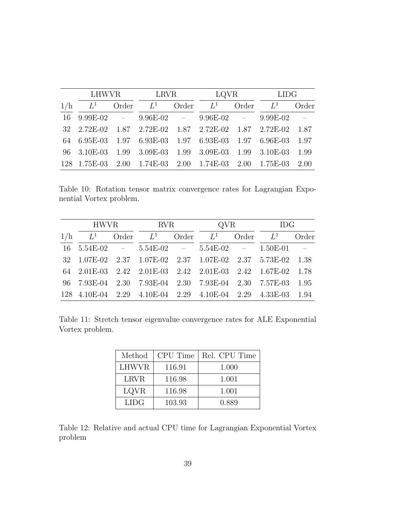|     | LHWVR       |       | <b>LRVR</b>                                            | LQVR  |       | LIDG  |                                                       |                             |
|-----|-------------|-------|--------------------------------------------------------|-------|-------|-------|-------------------------------------------------------|-----------------------------|
| 1/h | $L^1$       | Order | $L^1$                                                  | Order | $L^1$ | Order | $L^1$                                                 | Order                       |
| 16  |             |       | $9.99E-02$ $ 9.96E-02$ $ 9.96E-02$ $ 9.99E-02$         |       |       |       |                                                       | $\mathcal{L} = \mathcal{L}$ |
|     | 32 2.72E-02 |       |                                                        |       |       |       | $1.87$ $2.72E-02$ $1.87$ $2.72E-02$ $1.87$ $2.72E-02$ | 1.87                        |
|     |             |       | 64 6.95E-03 1.97 6.93E-03 1.97 6.93E-03 1.97 6.96E-03  |       |       |       |                                                       | 1.97                        |
|     | 96 3.10E-03 |       |                                                        |       |       |       | 1.99 3.09E-03 1.99 3.09E-03 1.99 3.10E-03 1.99        |                             |
|     |             |       | 128 1.75E-03 2.00 1.74E-03 2.00 1.74E-03 2.00 1.75E-03 |       |       |       |                                                       | 2.00                        |

<span id="page-38-0"></span>Table 10: Rotation tensor matrix convergence rates for Lagrangian Exponential Vortex problem.

|     | HWVR RVR |  |             | QVR   |                                                                    |             | <b>IDG</b> |                                                             |
|-----|----------|--|-------------|-------|--------------------------------------------------------------------|-------------|------------|-------------------------------------------------------------|
| 1/h | $L^1$    |  | Order $L^1$ | Order | $L^1$                                                              | Order $L^1$ |            | Order                                                       |
|     |          |  |             |       | $16 \quad 5.54E-02 = 5.54E-02 = 5.54E-02 = 1.50E-01$               |             |            | $\mathcal{L}^{\mathcal{L}}$ and $\mathcal{L}^{\mathcal{L}}$ |
|     |          |  |             |       | 32 1.07E-02 2.37 1.07E-02 2.37 1.07E-02 2.37 5.73E-02 1.38         |             |            |                                                             |
|     |          |  |             |       | 64  2.01E-03  2.42  2.01E-03  2.42  2.01E-03  2.42  1.67E-02  1.78 |             |            |                                                             |
|     |          |  |             |       | 96 7.93E-04 2.30 7.93E-04 2.30 7.93E-04 2.30 7.57E-03 1.95         |             |            |                                                             |
|     |          |  |             |       | 128 4.10E-04 2.29 4.10E-04 2.29 4.10E-04 2.29 4.33E-03 1.94        |             |            |                                                             |

<span id="page-38-1"></span>Table 11: Stretch tensor eigenvalue convergence rates for ALE Exponential Vortex problem.

| Method      | CPU Time | Rel. CPU Time |
|-------------|----------|---------------|
| LHWVR       | 116.91   | 1.000         |
| <b>LRVR</b> | 116.98   | 1.001         |
| LQVR        | 116.98   | 1.001         |
| LIDG.       | 103.93   | 0.889         |

<span id="page-38-2"></span>Table 12: Relative and actual CPU time for Lagrangian Exponential Vortex problem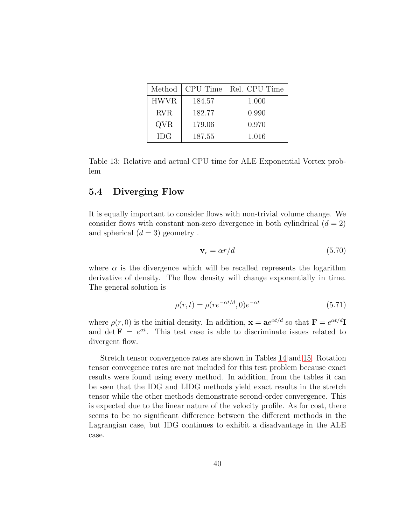| Method      | CPU Time | Rel. CPU Time |
|-------------|----------|---------------|
| <b>HWVR</b> | 184.57   | 1.000         |
| <b>RVR</b>  | 182.77   | 0.990         |
| QVR         | 179.06   | 0.970         |
| <b>IDG</b>  | 187.55   | 1.016         |

<span id="page-39-1"></span>Table 13: Relative and actual CPU time for ALE Exponential Vortex problem

#### <span id="page-39-0"></span>5.4 Diverging Flow

It is equally important to consider flows with non-trivial volume change. We consider flows with constant non-zero divergence in both cylindrical  $(d = 2)$ and spherical  $(d = 3)$  geometry.

$$
\mathbf{v}_r = \alpha r/d \tag{5.70}
$$

where  $\alpha$  is the divergence which will be recalled represents the logarithm derivative of density. The flow density will change exponentially in time. The general solution is

$$
\rho(r,t) = \rho(re^{-\alpha t/d}, 0)e^{-\alpha t}
$$
\n(5.71)

where  $\rho(r, 0)$  is the initial density. In addition,  $\mathbf{x} = \mathbf{a}e^{\alpha t/d}$  so that  $\mathbf{F} = e^{\alpha t/d}$ and det  $\mathbf{F} = e^{\alpha t}$ . This test case is able to discriminate issues related to divergent flow.

Stretch tensor convergence rates are shown in Tables [14](#page-40-0) and [15.](#page-40-1) Rotation tensor convegence rates are not included for this test problem because exact results were found using every method. In addition, from the tables it can be seen that the IDG and LIDG methods yield exact results in the stretch tensor while the other methods demonstrate second-order convergence. This is expected due to the linear nature of the velocity profile. As for cost, there seems to be no significant difference between the different methods in the Lagrangian case, but IDG continues to exhibit a disadvantage in the ALE case.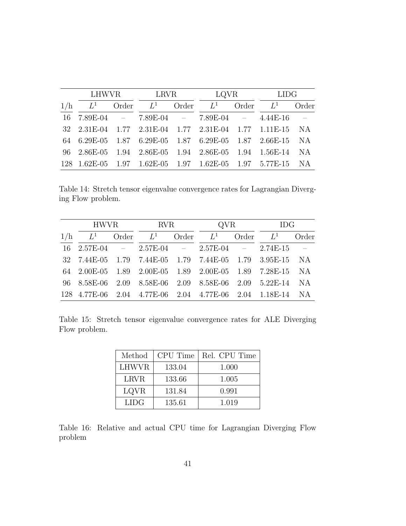|     | LHWVR LRVR |             |             |                                                           | LQVR LIDG   |  |                             |  |
|-----|------------|-------------|-------------|-----------------------------------------------------------|-------------|--|-----------------------------|--|
| 1/h | $L^1$      | Order $L^1$ | Order $L^1$ |                                                           | Order $L^1$ |  | Order                       |  |
|     |            |             |             | $16$ $7.89E-04$ - $7.89E-04$ - $7.89E-04$ - $4.44E-16$    |             |  | $\mathcal{L}^{\mathcal{L}}$ |  |
|     |            |             |             |                                                           |             |  |                             |  |
|     |            |             |             | 64 6.29E-05 1.87 6.29E-05 1.87 6.29E-05 1.87 2.66E-15 NA  |             |  |                             |  |
|     |            |             |             | 96 2.86E-05 1.94 2.86E-05 1.94 2.86E-05 1.94 1.56E-14 NA  |             |  |                             |  |
|     |            |             |             | 128 1.62E-05 1.97 1.62E-05 1.97 1.62E-05 1.97 5.77E-15 NA |             |  |                             |  |

<span id="page-40-0"></span>Table 14: Stretch tensor eigenvalue convergence rates for Lagrangian Diverging Flow problem.

|     | HWVR RVR                                                         |  |                   | QVR |             | IDG         |  |                                         |
|-----|------------------------------------------------------------------|--|-------------------|-----|-------------|-------------|--|-----------------------------------------|
| 1/h |                                                                  |  | $L^1$ Order $L^1$ |     | Order $L^1$ | Order $L^1$ |  | Order                                   |
|     | $16 \quad 2.57E-04 = 2.57E-04 = 2.57E-04 = 2.74E-15$             |  |                   |     |             |             |  | $\mathcal{L}^{\text{max}}_{\text{max}}$ |
|     | 32 7.44E-05 1.79 7.44E-05 1.79 7.44E-05 1.79 3.95E-15 NA         |  |                   |     |             |             |  |                                         |
|     | 64  2.00E-05  1.89  2.00E-05  1.89  2.00E-05  1.89  7.28E-15  NA |  |                   |     |             |             |  |                                         |
|     | 96 8.58E-06 2.09 8.58E-06 2.09 8.58E-06 2.09 5.22E-14 NA         |  |                   |     |             |             |  |                                         |
|     | 128 4.77E-06 2.04 4.77E-06 2.04 4.77E-06 2.04 1.18E-14 NA        |  |                   |     |             |             |  |                                         |

<span id="page-40-1"></span>Table 15: Stretch tensor eigenvalue convergence rates for ALE Diverging Flow problem.

| Method      | CPU Time | Rel. CPU Time |
|-------------|----------|---------------|
| LHWVR       | 133.04   | 1.000         |
| <b>LRVR</b> | 133.66   | 1.005         |
| LQVR        | 131.84   | 0.991         |
| <b>LIDG</b> | 135.61   | 1.019         |

<span id="page-40-2"></span>Table 16: Relative and actual CPU time for Lagrangian Diverging Flow problem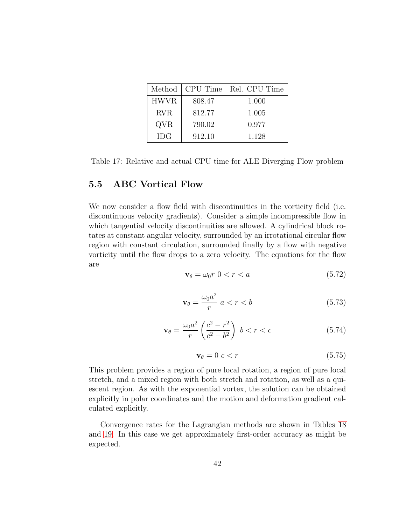| Method      | CPU Time | Rel. CPU Time |
|-------------|----------|---------------|
| <b>HWVR</b> | 808.47   | 1.000         |
| <b>RVR</b>  | 812.77   | 1.005         |
| QVR         | 790.02   | 0.977         |
| <b>IDG</b>  | 912.10   | 1.128         |

<span id="page-41-1"></span>Table 17: Relative and actual CPU time for ALE Diverging Flow problem

#### <span id="page-41-0"></span>5.5 ABC Vortical Flow

We now consider a flow field with discontinuities in the vorticity field (i.e. discontinuous velocity gradients). Consider a simple incompressible flow in which tangential velocity discontinuities are allowed. A cylindrical block rotates at constant angular velocity, surrounded by an irrotational circular flow region with constant circulation, surrounded finally by a flow with negative vorticity until the flow drops to a zero velocity. The equations for the flow are

$$
\mathbf{v}_{\theta} = \omega_0 r \ \mathbf{0} < r < a \tag{5.72}
$$

$$
\mathbf{v}_{\theta} = \frac{\omega_0 a^2}{r} \ a < r < b \tag{5.73}
$$

$$
\mathbf{v}_{\theta} = \frac{\omega_0 a^2}{r} \left( \frac{c^2 - r^2}{c^2 - b^2} \right) \ b < r < c \tag{5.74}
$$

$$
\mathbf{v}_{\theta} = 0 \ c < r \tag{5.75}
$$

This problem provides a region of pure local rotation, a region of pure local stretch, and a mixed region with both stretch and rotation, as well as a quiescent region. As with the exponential vortex, the solution can be obtained explicitly in polar coordinates and the motion and deformation gradient calculated explicitly.

Convergence rates for the Lagrangian methods are shown in Tables [18](#page-42-0) and [19.](#page-42-1) In this case we get approximately first-order accuracy as might be expected.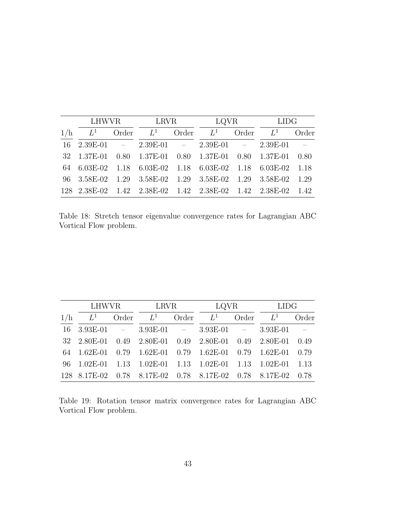|     | LHWVR LRVR |  |                                                             | LQVR LIDG |             |  |                                                        |
|-----|------------|--|-------------------------------------------------------------|-----------|-------------|--|--------------------------------------------------------|
| 1/h | $L^1$      |  | Order $L^1$ Order $L^1$                                     |           | Order $L^1$ |  | Order                                                  |
|     |            |  | $16 \quad 2.39E-01 = 2.39E-01 = 2.39E-01 = 2.39E-01$        |           |             |  | $\mathcal{L}^{\mathcal{L}}(\mathcal{L}^{\mathcal{L}})$ |
|     |            |  | 32 1.37E-01 0.80 1.37E-01 0.80 1.37E-01 0.80 1.37E-01       |           |             |  | 0.80                                                   |
|     |            |  | 64 6.03E-02 1.18 6.03E-02 1.18 6.03E-02 1.18 6.03E-02 1.18  |           |             |  |                                                        |
|     |            |  | 96 3.58E-02 1.29 3.58E-02 1.29 3.58E-02 1.29 3.58E-02 1.29  |           |             |  |                                                        |
|     |            |  | 128 2.38E-02 1.42 2.38E-02 1.42 2.38E-02 1.42 2.38E-02 1.42 |           |             |  |                                                        |

<span id="page-42-0"></span>Table 18: Stretch tensor eigenvalue convergence rates for Lagrangian ABC Vortical Flow problem.

|     |  |  |  | LHWVR LRVR LQVR LIDG |  |                                                              |      |
|-----|--|--|--|----------------------|--|--------------------------------------------------------------|------|
| 1/h |  |  |  |                      |  | $L^1$ Order $L^1$ Order $L^1$ Order $L^1$ Order              |      |
|     |  |  |  |                      |  | $16 \quad 3.93E-01$ - $3.93E-01$ - $3.93E-01$ - $3.93E-01$ - |      |
|     |  |  |  |                      |  | 32  2.80E-01  0.49  2.80E-01  0.49  2.80E-01  0.49  2.80E-01 | 0.49 |
|     |  |  |  |                      |  | $64$ 1.62E-01 0.79 1.62E-01 0.79 1.62E-01 0.79 1.62E-01      | 0.79 |
|     |  |  |  |                      |  | 96 1.02E-01 1.13 1.02E-01 1.13 1.02E-01 1.13 1.02E-01 1.13   |      |
|     |  |  |  |                      |  | 128 8.17E-02 0.78 8.17E-02 0.78 8.17E-02 0.78 8.17E-02       | 0.78 |

<span id="page-42-1"></span>Table 19: Rotation tensor matrix convergence rates for Lagrangian ABC Vortical Flow problem.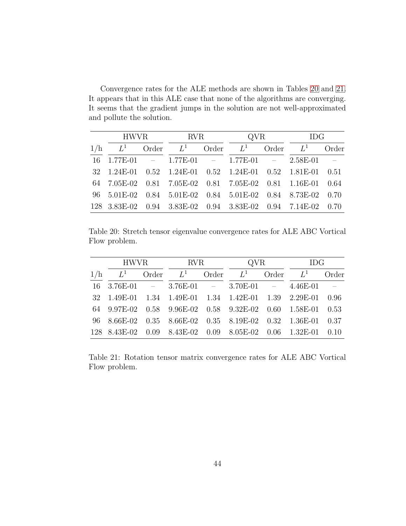Convergence rates for the ALE methods are shown in Tables [20](#page-43-0) and [21.](#page-43-1) It appears that in this ALE case that none of the algorithms are converging. It seems that the gradient jumps in the solution are not well-approximated and pollute the solution.

|     | HWVR RVR |  |                               | QVR |             | IDG                                                         |       |
|-----|----------|--|-------------------------------|-----|-------------|-------------------------------------------------------------|-------|
| 1/h |          |  | $L^1$ Order $L^1$ Order $L^1$ |     | Order $L^1$ |                                                             | Order |
|     |          |  |                               |     |             | $16$ $1.77E-01$ - $1.77E-01$ - $1.77E-01$ - $2.58E-01$ -    |       |
|     |          |  |                               |     |             | 32 1.24E-01 0.52 1.24E-01 0.52 1.24E-01 0.52 1.81E-01 0.51  |       |
|     |          |  |                               |     |             | 64 7.05E-02 0.81 7.05E-02 0.81 7.05E-02 0.81 1.16E-01 0.64  |       |
|     |          |  |                               |     |             | 96 5.01E-02 0.84 5.01E-02 0.84 5.01E-02 0.84 8.73E-02 0.70  |       |
|     |          |  |                               |     |             | 128 3.83E-02 0.94 3.83E-02 0.94 3.83E-02 0.94 7.14E-02 0.70 |       |

<span id="page-43-0"></span>Table 20: Stretch tensor eigenvalue convergence rates for ALE ABC Vortical Flow problem.

|     | HWVR RVR |  |                               | QVR |  | IDG                                                                                              |  |
|-----|----------|--|-------------------------------|-----|--|--------------------------------------------------------------------------------------------------|--|
| 1/h |          |  | $L^1$ Order $L^1$ Order $L^1$ |     |  | Order $L^1$ Order                                                                                |  |
|     |          |  |                               |     |  | $16 \quad 3.76E-01 \quad - \quad 3.76E-01 \quad - \quad 3.70E-01 \quad - \quad 4.46E-01 \quad -$ |  |
|     |          |  |                               |     |  | 32 1.49E-01 1.34 1.49E-01 1.34 1.42E-01 1.39 2.29E-01 0.96                                       |  |
|     |          |  |                               |     |  | 64 9.97E-02 0.58 9.96E-02 0.58 9.32E-02 0.60 1.58E-01 0.53                                       |  |
|     |          |  |                               |     |  | 96 8.66E-02 0.35 8.66E-02 0.35 8.19E-02 0.32 1.36E-01 0.37                                       |  |
|     |          |  |                               |     |  | 128 8.43E-02 0.09 8.43E-02 0.09 8.05E-02 0.06 1.32E-01 0.10                                      |  |

<span id="page-43-1"></span>Table 21: Rotation tensor matrix convergence rates for ALE ABC Vortical Flow problem.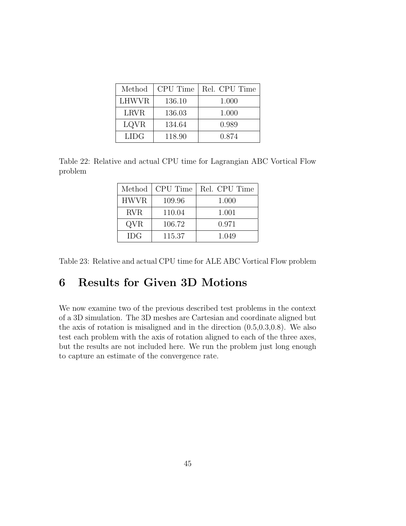| Method       | CPU Time | Rel. CPU Time |
|--------------|----------|---------------|
| <b>LHWVR</b> | 136.10   | 1.000         |
| <b>LRVR</b>  | 136.03   | 1.000         |
| LQVR         | 134.64   | 0.989         |
| <b>LIDG</b>  | 118.90   | 0.874         |

<span id="page-44-1"></span>Table 22: Relative and actual CPU time for Lagrangian ABC Vortical Flow problem

| Method      | CPU Time | Rel. CPU Time |
|-------------|----------|---------------|
| <b>HWVR</b> | 109.96   | 1.000         |
| <b>RVR</b>  | 110.04   | 1.001         |
| QVR         | 106.72   | 0.971         |
| <b>IDG</b>  | 115.37   | 1.049         |

<span id="page-44-2"></span>Table 23: Relative and actual CPU time for ALE ABC Vortical Flow problem

## <span id="page-44-0"></span>6 Results for Given 3D Motions

We now examine two of the previous described test problems in the context of a 3D simulation. The 3D meshes are Cartesian and coordinate aligned but the axis of rotation is misaligned and in the direction (0.5,0.3,0.8). We also test each problem with the axis of rotation aligned to each of the three axes, but the results are not included here. We run the problem just long enough to capture an estimate of the convergence rate.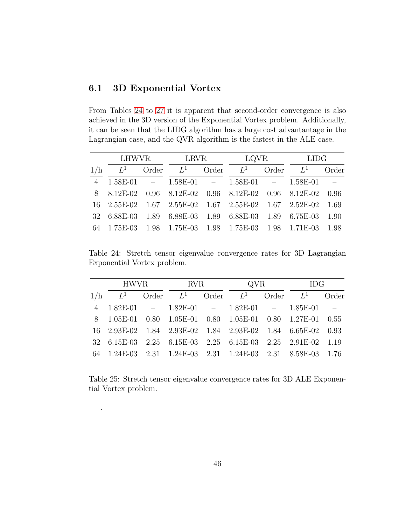#### <span id="page-45-0"></span>6.1 3D Exponential Vortex

.

From Tables [24](#page-45-1) to [27](#page-46-1) it is apparent that second-order convergence is also achieved in the 3D version of the Exponential Vortex problem. Additionally, it can be seen that the LIDG algorithm has a large cost advantantage in the Lagrangian case, and the QVR algorithm is the fastest in the ALE case.

|     | LHWVR               |  | <b>LRVR</b>             |                                                       | LQVR        |                 | LIDG       |
|-----|---------------------|--|-------------------------|-------------------------------------------------------|-------------|-----------------|------------|
| 1/h | $L^1$               |  | Order $L^1$ Order $L^1$ |                                                       | Order $L^1$ |                 | Order      |
|     | 4 1.58E-01          |  |                         | $- 1.58E-01 - 1.58E-01 - 1.58E-01$                    |             |                 | $\sim 100$ |
|     | 8 8.12E-02          |  |                         | $0.96$ 8.12E-02 0.96 8.12E-02                         |             | $0.96$ 8.12E-02 | 0.96       |
|     | $16 \quad 2.55E-02$ |  |                         | $1.67$ $2.55E-02$ $1.67$ $2.55E-02$ $1.67$ $2.52E-02$ |             |                 | 1.69       |
|     | 32 6.88E-03         |  |                         | 1.89 6.88E-03 1.89 6.88E-03                           |             | 1.89 6.75E-03   | 1.90       |
| 64  | $1.75E-03$          |  |                         | 1.98 1.75E-03 1.98 1.75E-03 1.98 1.71E-03             |             |                 | 1.98       |

<span id="page-45-1"></span>Table 24: Stretch tensor eigenvalue convergence rates for 3D Lagrangian Exponential Vortex problem.

|     |  |  | HWVR RVR |  | QVR IDG                                                            |  |  |  |
|-----|--|--|----------|--|--------------------------------------------------------------------|--|--|--|
| 1/h |  |  |          |  | $L^1$ Order $L^1$ Order $L^1$ Order $L^1$ Order $L^1$ Order        |  |  |  |
|     |  |  |          |  | $4 \quad 1.82E-01$ - $1.82E-01$ - $1.82E-01$ - $1.85E-01$ -        |  |  |  |
|     |  |  |          |  | 8 1.05E-01 0.80 1.05E-01 0.80 1.05E-01 0.80 1.27E-01 0.55          |  |  |  |
|     |  |  |          |  | 16  2.93E-02  1.84  2.93E-02  1.84  2.93E-02  1.84  6.65E-02  0.93 |  |  |  |
|     |  |  |          |  | 32 6.15E-03 2.25 6.15E-03 2.25 6.15E-03 2.25 2.91E-02 1.19         |  |  |  |
|     |  |  |          |  | 64 1.24E-03 2.31 1.24E-03 2.31 1.24E-03 2.31 8.58E-03 1.76         |  |  |  |

<span id="page-45-2"></span>Table 25: Stretch tensor eigenvalue convergence rates for 3D ALE Exponential Vortex problem.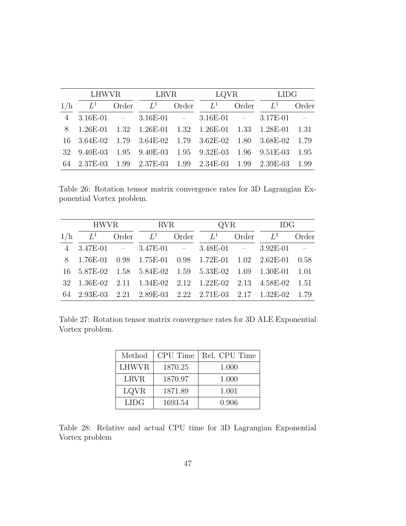|     | LHWVR       |       | <b>LRVR</b>                                       |       | LQVR  |       | LIDG                                                               |                             |
|-----|-------------|-------|---------------------------------------------------|-------|-------|-------|--------------------------------------------------------------------|-----------------------------|
| 1/h | $L^1$       | Order | $L^1$                                             | Order | $L^1$ | Order | $L^1$                                                              | Order                       |
|     |             |       | $3.16E-01$ - $3.16E-01$ - $3.16E-01$ - $3.17E-01$ |       |       |       |                                                                    | $\mathcal{L} = \mathcal{L}$ |
| 8   | $1.26E-01$  |       |                                                   |       |       |       | 1.32 1.26E-01 1.32 1.26E-01 1.33 1.28E-01 1.31                     |                             |
|     | 16 3.64E-02 |       |                                                   |       |       |       | 1.79 3.64E-02 1.79 3.62E-02 1.80 3.68E-02 1.79                     |                             |
|     | 32 9.40E-03 |       | $1.95$ 9.40E-03 1.95 9.32E-03 1.96 9.51E-03       |       |       |       |                                                                    | 1.95                        |
|     |             |       |                                                   |       |       |       | 64  2.37E-03  1.99  2.37E-03  1.99  2.34E-03  1.99  2.39E-03  1.99 |                             |

<span id="page-46-0"></span>Table 26: Rotation tensor matrix convergence rates for 3D Lagrangian Exponential Vortex problem.

|     |       |  |                         | HWVR RVR |                                                            | QVR         |  | IDG                                                         |  |
|-----|-------|--|-------------------------|----------|------------------------------------------------------------|-------------|--|-------------------------------------------------------------|--|
| 1/h | $L^1$ |  | Order $L^1$ Order $L^1$ |          |                                                            | Order $L^1$ |  | Order                                                       |  |
|     |       |  |                         |          | $4 \quad 3.47E-01 = 3.47E-01 = 3.48E-01 = 3.92E-01$        |             |  | $\mathcal{L}^{\mathcal{L}}$ and $\mathcal{L}^{\mathcal{L}}$ |  |
|     |       |  |                         |          | 8 1.76E-01 0.98 1.75E-01 0.98 1.72E-01 1.02 2.62E-01 0.58  |             |  |                                                             |  |
|     |       |  |                         |          | 16 5.87E-02 1.58 5.84E-02 1.59 5.33E-02 1.69 1.30E-01 1.01 |             |  |                                                             |  |
|     |       |  |                         |          | 32 1.36E-02 2.11 1.34E-02 2.12 1.22E-02 2.13 4.58E-02 1.51 |             |  |                                                             |  |
|     |       |  |                         |          | 64 2.93E-03 2.21 2.89E-03 2.22 2.71E-03 2.17 1.32E-02 1.79 |             |  |                                                             |  |

<span id="page-46-1"></span>Table 27: Rotation tensor matrix convergence rates for 3D ALE Exponential Vortex problem.

| Method      | CPU Time | Rel. CPU Time |
|-------------|----------|---------------|
| LHWVR       | 1870.25  | 1.000         |
| <b>LRVR</b> | 1870.97  | 1.000         |
| LQVR        | 1871.89  | 1.001         |
| LIDG.       | 1693.54  | 0.906         |

<span id="page-46-2"></span>Table 28: Relative and actual CPU time for 3D Lagrangian Exponential Vortex problem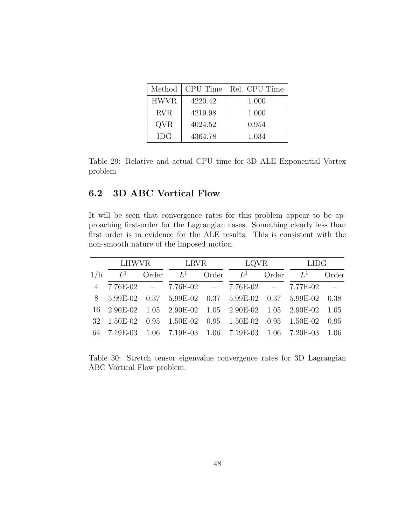| Method      | CPU Time | Rel. CPU Time |
|-------------|----------|---------------|
| <b>HWVR</b> | 4220.42  | 1.000         |
| <b>RVR</b>  | 4219.98  | 1.000         |
| QVR         | 4024.52  | 0.954         |
| <b>IDG</b>  | 4364.78  | 1.034         |

<span id="page-47-1"></span>Table 29: Relative and actual CPU time for 3D ALE Exponential Vortex problem

#### <span id="page-47-0"></span>6.2 3D ABC Vortical Flow

It will be seen that convergence rates for this problem appear to be approaching first-order for the Lagrangian cases. Something clearly less than first order is in evidence for the ALE results. This is consistent with the non-smooth nature of the imposed motion.

|                | LHWVR                                                 |  | <b>LRVR</b>       |  | LQVR                                              |             | LIDG                                                  |            |
|----------------|-------------------------------------------------------|--|-------------------|--|---------------------------------------------------|-------------|-------------------------------------------------------|------------|
| 1/h            | $L^1$                                                 |  | Order $L^1$ Order |  | $L^1$                                             | Order $L^1$ |                                                       | Order      |
| $\overline{4}$ |                                                       |  |                   |  | $7.76E-02$ - $7.76E-02$ - $7.76E-02$ - $7.77E-02$ |             |                                                       | $\sim$ $-$ |
|                | 8 5.99E-02 0.37 5.99E-02 0.37 5.99E-02 0.37 5.99E-02  |  |                   |  |                                                   |             |                                                       | 0.38       |
|                | 16 2.90E-02 1.05 2.90E-02 1.05 2.90E-02 1.05 2.90E-02 |  |                   |  |                                                   |             |                                                       | 1.05       |
|                | 32 1.50E-02                                           |  |                   |  |                                                   |             | $0.95$ $1.50E-02$ $0.95$ $1.50E-02$ $0.95$ $1.50E-02$ | 0.95       |
|                | 64 7.19E-03 1.06 7.19E-03 1.06 7.19E-03 1.06 7.20E-03 |  |                   |  |                                                   |             |                                                       | 1.06       |

<span id="page-47-2"></span>Table 30: Stretch tensor eigenvalue convergence rates for 3D Lagrangian ABC Vortical Flow problem.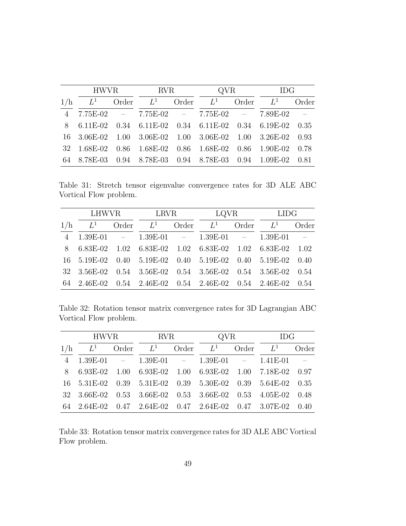|     | HWVR RVR |       |       |       | QVR                                                        |             | <b>IDG</b> |                             |
|-----|----------|-------|-------|-------|------------------------------------------------------------|-------------|------------|-----------------------------|
| 1/h | $L^1$    | Order | $L^1$ | Order | $L^1$                                                      | Order $L^1$ |            | Order                       |
|     |          |       |       |       | $4$ 7.75E-02 - 7.75E-02 - 7.75E-02 - 7.89E-02              |             |            | $\mathcal{L} = \mathcal{L}$ |
|     |          |       |       |       | 8 6.11E-02 0.34 6.11E-02 0.34 6.11E-02 0.34 6.19E-02 0.35  |             |            |                             |
|     |          |       |       |       | 16 3.06E-02 1.00 3.06E-02 1.00 3.06E-02 1.00 3.26E-02      |             |            | 0.93                        |
|     |          |       |       |       | 32 1.68E-02 0.86 1.68E-02 0.86 1.68E-02 0.86 1.90E-02 0.78 |             |            |                             |
|     |          |       |       |       | 64 8.78E-03 0.94 8.78E-03 0.94 8.78E-03 0.94 1.09E-02 0.81 |             |            |                             |

<span id="page-48-0"></span>Table 31: Stretch tensor eigenvalue convergence rates for 3D ALE ABC Vortical Flow problem.

|     | LHWVR |       | LRVR  |       | LQVR                                                               |       | <b>LIDG</b>           |                |
|-----|-------|-------|-------|-------|--------------------------------------------------------------------|-------|-----------------------|----------------|
| 1/h | $L^1$ | Order | $L^1$ | Order | $L^1$                                                              | Order | $L^1$                 | Order          |
|     |       |       |       |       | $1.39E-01$ - $1.39E-01$ - $1.39E-01$ - $1.39E-01$                  |       |                       | $\overline{a}$ |
| -8  |       |       |       |       | $6.83E-02$ $1.02$ $6.83E-02$ $1.02$ $6.83E-02$                     |       | $1.02 \quad 6.83E-02$ | 1.02           |
|     |       |       |       |       | 16 5.19E-02 0.40 5.19E-02 0.40 5.19E-02                            |       | $0.40\quad 5.19E-02$  | 0.40           |
|     |       |       |       |       | 32 3.56E-02 0.54 3.56E-02 0.54 3.56E-02 0.54 3.56E-02 0.54         |       |                       |                |
|     |       |       |       |       | 64  2.46E-02  0.54  2.46E-02  0.54  2.46E-02  0.54  2.46E-02  0.54 |       |                       |                |

<span id="page-48-1"></span>Table 32: Rotation tensor matrix convergence rates for 3D Lagrangian ABC Vortical Flow problem.

|  |  | HWVR RVR |  | QVR IDG                                                                                         |  |  |  |
|--|--|----------|--|-------------------------------------------------------------------------------------------------|--|--|--|
|  |  |          |  | $1/h$ $L^1$ Order $L^1$ Order $L^1$ Order $L^1$ Order                                           |  |  |  |
|  |  |          |  | $4 \quad 1.39E-01 \quad - \quad 1.39E-01 \quad - \quad 1.39E-01 \quad - \quad 1.41E-01 \quad -$ |  |  |  |
|  |  |          |  | 8 6.93E-02 1.00 6.93E-02 1.00 6.93E-02 1.00 7.18E-02 0.97                                       |  |  |  |
|  |  |          |  | 16 5.31E-02 0.39 5.31E-02 0.39 5.30E-02 0.39 5.64E-02 0.35                                      |  |  |  |
|  |  |          |  | 32 3.66E-02 0.53 3.66E-02 0.53 3.66E-02 0.53 4.05E-02 0.48                                      |  |  |  |
|  |  |          |  | 64  2.64E-02  0.47  2.64E-02  0.47  2.64E-02  0.47  3.07E-02  0.40                              |  |  |  |

<span id="page-48-2"></span>Table 33: Rotation tensor matrix convergence rates for 3D ALE ABC Vortical Flow problem.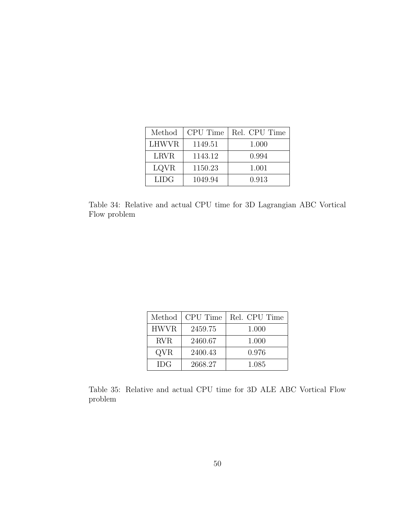| Method       | CPU Time | Rel. CPU Time |
|--------------|----------|---------------|
| <b>LHWVR</b> | 1149.51  | 1.000         |
| <b>LRVR</b>  | 1143.12  | 0.994         |
| LQVR         | 1150.23  | 1.001         |
| LIDG.        | 1049.94  | 0.913         |

<span id="page-49-0"></span>Table 34: Relative and actual CPU time for 3D Lagrangian ABC Vortical Flow problem

| Method      | CPU Time | Rel. CPU Time |
|-------------|----------|---------------|
| <b>HWVR</b> | 2459.75  | 1.000         |
| RVR.        | 2460.67  | 1.000         |
| QVR         | 2400.43  | 0.976         |
| <b>IDG</b>  | 2668.27  | 1.085         |

<span id="page-49-1"></span>Table 35: Relative and actual CPU time for 3D ALE ABC Vortical Flow problem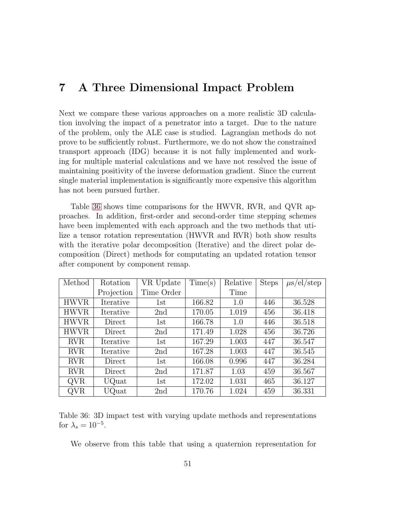### <span id="page-50-0"></span>7 A Three Dimensional Impact Problem

Next we compare these various approaches on a more realistic 3D calculation involving the impact of a penetrator into a target. Due to the nature of the problem, only the ALE case is studied. Lagrangian methods do not prove to be sufficiently robust. Furthermore, we do not show the constrained transport approach (IDG) because it is not fully implemented and working for multiple material calculations and we have not resolved the issue of maintaining positivity of the inverse deformation gradient. Since the current single material implementation is significantly more expensive this algorithm has not been pursued further.

Table [36](#page-50-1) shows time comparisons for the HWVR, RVR, and QVR approaches. In addition, first-order and second-order time stepping schemes have been implemented with each approach and the two methods that utilize a tensor rotation representation (HWVR and RVR) both show results with the iterative polar decomposition (Iterative) and the direct polar decomposition (Direct) methods for computating an updated rotation tensor after component by component remap.

| Method      | Rotation   | VR Update  | Time(s) | Relative | <b>Steps</b> | $\mu$ s/el/step |
|-------------|------------|------------|---------|----------|--------------|-----------------|
|             | Projection | Time Order |         | Time     |              |                 |
| <b>HWVR</b> | Iterative  | 1st        | 166.82  | 1.0      | 446          | 36.528          |
| <b>HWVR</b> | Iterative  | 2nd        | 170.05  | 1.019    | 456          | 36.418          |
| <b>HWVR</b> | Direct     | 1st        | 166.78  | 1.0      | 446          | 36.518          |
| <b>HWVR</b> | Direct     | 2nd        | 171.49  | 1.028    | 456          | 36.726          |
| <b>RVR</b>  | Iterative  | 1st        | 167.29  | 1.003    | 447          | 36.547          |
| <b>RVR</b>  | Iterative  | 2nd        | 167.28  | 1.003    | 447          | 36.545          |
| <b>RVR</b>  | Direct     | 1st        | 166.08  | 0.996    | 447          | 36.284          |
| <b>RVR</b>  | Direct     | 2nd        | 171.87  | 1.03     | 459          | 36.567          |
| QVR         | UQuat      | 1st        | 172.02  | 1.031    | 465          | 36.127          |
| QVR         | UQuat      | 2nd        | 170.76  | 1.024    | 459          | 36.331          |

<span id="page-50-1"></span>Table 36: 3D impact test with varying update methods and representations for  $\lambda_s = 10^{-5}$ .

We observe from this table that using a quaternion representation for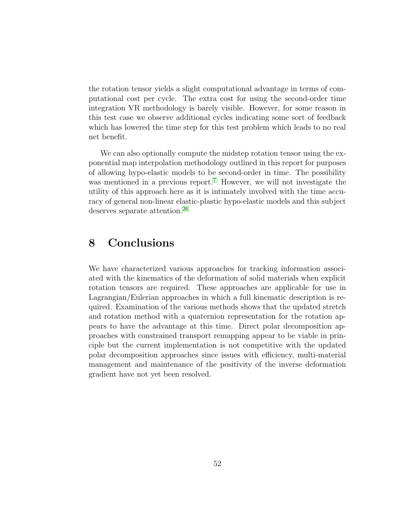the rotation tensor yields a slight computational advantage in terms of computational cost per cycle. The extra cost for using the second-order time integration VR methodology is barely visible. However, for some reason in this test case we observe additional cycles indicating some sort of feedback which has lowered the time step for this test problem which leads to no real net benefit.

We can also optionally compute the midstep rotation tensor using the exponential map interpolation methodology outlined in this report for purposes of allowing hypo-elastic models to be second-order in time. The possibility was mentioned in a previous report.<sup>[7](#page-52-9)</sup> However, we will not investigate the utility of this approach here as it is intimately involved with the time accuracy of general non-linear elastic-plastic hypo-elastic models and this subject deserves separate attention.<sup>[26](#page-54-9)</sup>

### <span id="page-51-0"></span>8 Conclusions

We have characterized various approaches for tracking information associated with the kinematics of the deformation of solid materials when explicit rotation tensors are required. These approaches are applicable for use in Lagrangian/Eulerian approaches in which a full kinematic description is required. Examination of the various methods shows that the updated stretch and rotation method with a quaternion representation for the rotation appears to have the advantage at this time. Direct polar decomposition approaches with constrained transport remapping appear to be viable in principle but the current implementation is not competitive with the updated polar decomposition approaches since issues with efficiency, multi-material management and maintenance of the positivity of the inverse deformation gradient have not yet been resolved.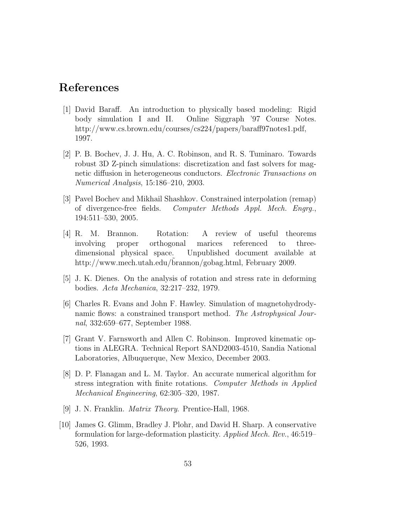### <span id="page-52-5"></span>References

- [1] David Baraff. An introduction to physically based modeling: Rigid body simulation I and II. Online Siggraph '97 Course Notes. http://www.cs.brown.edu/courses/cs224/papers/baraff97notes1.pdf, 1997.
- <span id="page-52-7"></span>[2] P. B. Bochev, J. J. Hu, A. C. Robinson, and R. S. Tuminaro. Towards robust 3D Z-pinch simulations: discretization and fast solvers for magnetic diffusion in heterogeneous conductors. Electronic Transactions on Numerical Analysis, 15:186–210, 2003.
- <span id="page-52-8"></span>[3] Pavel Bochev and Mikhail Shashkov. Constrained interpolation (remap) of divergence-free fields. Computer Methods Appl. Mech. Engrg., 194:511–530, 2005.
- <span id="page-52-3"></span>[4] R. M. Brannon. Rotation: A review of useful theorems involving proper orthogonal marices referenced to threedimensional physical space. Unpublished document available at http://www.mech.utah.edu/brannon/gobag.html, February 2009.
- <span id="page-52-6"></span><span id="page-52-1"></span>[5] J. K. Dienes. On the analysis of rotation and stress rate in deforming bodies. Acta Mechanica, 32:217–232, 1979.
- [6] Charles R. Evans and John F. Hawley. Simulation of magnetohydrodynamic flows: a constrained transport method. The Astrophysical Journal, 332:659–677, September 1988.
- <span id="page-52-9"></span>[7] Grant V. Farnsworth and Allen C. Robinson. Improved kinematic options in ALEGRA. Technical Report SAND2003-4510, Sandia National Laboratories, Albuquerque, New Mexico, December 2003.
- <span id="page-52-2"></span>[8] D. P. Flanagan and L. M. Taylor. An accurate numerical algorithm for stress integration with finite rotations. Computer Methods in Applied Mechanical Engineering, 62:305–320, 1987.
- <span id="page-52-4"></span>[9] J. N. Franklin. Matrix Theory. Prentice-Hall, 1968.
- <span id="page-52-0"></span>[10] James G. Glimm, Bradley J. Plohr, and David H. Sharp. A conservative formulation for large-deformation plasticity. Applied Mech. Rev., 46:519– 526, 1993.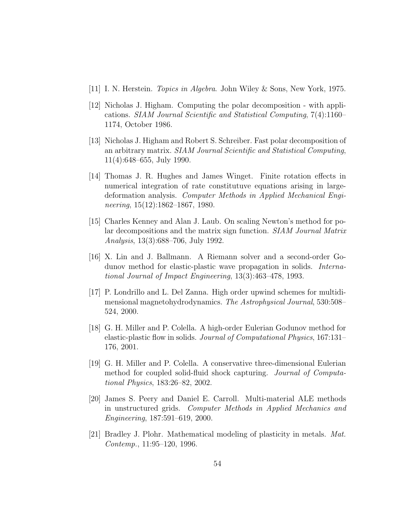- <span id="page-53-9"></span><span id="page-53-6"></span>[11] I. N. Herstein. Topics in Algebra. John Wiley & Sons, New York, 1975.
- [12] Nicholas J. Higham. Computing the polar decomposition with applications. SIAM Journal Scientific and Statistical Computing, 7(4):1160– 1174, October 1986.
- <span id="page-53-7"></span>[13] Nicholas J. Higham and Robert S. Schreiber. Fast polar decomposition of an arbitrary matrix. SIAM Journal Scientific and Statistical Computing, 11(4):648–655, July 1990.
- <span id="page-53-5"></span>[14] Thomas J. R. Hughes and James Winget. Finite rotation effects in numerical integration of rate constitutuve equations arising in largedeformation analysis. Computer Methods in Applied Mechanical Engineering, 15(12):1862–1867, 1980.
- <span id="page-53-8"></span>[15] Charles Kenney and Alan J. Laub. On scaling Newton's method for polar decompositions and the matrix sign function. SIAM Journal Matrix Analysis, 13(3):688–706, July 1992.
- <span id="page-53-4"></span>[16] X. Lin and J. Ballmann. A Riemann solver and a second-order Godunov method for elastic-plastic wave propagation in solids. International Journal of Impact Engineering, 13(3):463–478, 1993.
- <span id="page-53-10"></span>[17] P. Londrillo and L. Del Zanna. High order upwind schemes for multidimensional magnetohydrodynamics. The Astrophysical Journal, 530:508– 524, 2000.
- <span id="page-53-2"></span>[18] G. H. Miller and P. Colella. A high-order Eulerian Godunov method for elastic-plastic flow in solids. Journal of Computational Physics, 167:131– 176, 2001.
- <span id="page-53-3"></span>[19] G. H. Miller and P. Colella. A conservative three-dimensional Eulerian method for coupled solid-fluid shock capturing. Journal of Computational Physics, 183:26–82, 2002.
- <span id="page-53-0"></span>[20] James S. Peery and Daniel E. Carroll. Multi-material ALE methods in unstructured grids. Computer Methods in Applied Mechanics and Engineering, 187:591–619, 2000.
- <span id="page-53-1"></span>[21] Bradley J. Plohr. Mathematical modeling of plasticity in metals. Mat. Contemp., 11:95–120, 1996.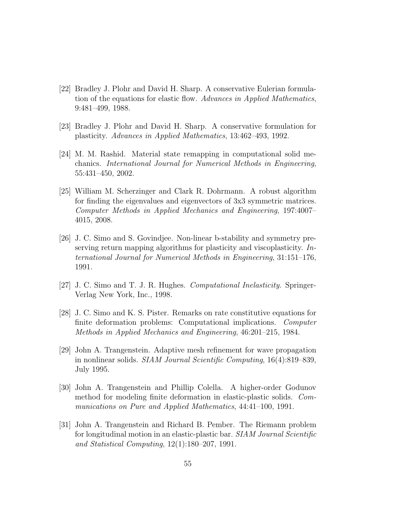- <span id="page-54-0"></span>[22] Bradley J. Plohr and David H. Sharp. A conservative Eulerian formulation of the equations for elastic flow. Advances in Applied Mathematics, 9:481–499, 1988.
- <span id="page-54-6"></span><span id="page-54-1"></span>[23] Bradley J. Plohr and David H. Sharp. A conservative formulation for plasticity. Advances in Applied Mathematics, 13:462–493, 1992.
- [24] M. M. Rashid. Material state remapping in computational solid mechanics. International Journal for Numerical Methods in Engineering, 55:431–450, 2002.
- <span id="page-54-8"></span>[25] William M. Scherzinger and Clark R. Dohrmann. A robust algorithm for finding the eigenvalues and eigenvectors of 3x3 symmetric matrices. Computer Methods in Applied Mechanics and Engineering, 197:4007– 4015, 2008.
- <span id="page-54-9"></span>[26] J. C. Simo and S. Govindjee. Non-linear b-stability and symmetry preserving return mapping algorithms for plasticity and viscoplasticity. International Journal for Numerical Methods in Engineering, 31:151–176, 1991.
- <span id="page-54-7"></span><span id="page-54-5"></span>[27] J. C. Simo and T. J. R. Hughes. Computational Inelasticity. Springer-Verlag New York, Inc., 1998.
- [28] J. C. Simo and K. S. Pister. Remarks on rate constitutive equations for finite deformation problems: Computational implications. Computer Methods in Applied Mechanics and Engineering, 46:201–215, 1984.
- <span id="page-54-3"></span>[29] John A. Trangenstein. Adaptive mesh refinement for wave propagation in nonlinear solids. SIAM Journal Scientific Computing, 16(4):819–839, July 1995.
- <span id="page-54-2"></span>[30] John A. Trangenstein and Phillip Colella. A higher-order Godunov method for modeling finite deformation in elastic-plastic solids. Communications on Pure and Applied Mathematics, 44:41–100, 1991.
- <span id="page-54-4"></span>[31] John A. Trangenstein and Richard B. Pember. The Riemann problem for longitudinal motion in an elastic-plastic bar. SIAM Journal Scientific and Statistical Computing, 12(1):180–207, 1991.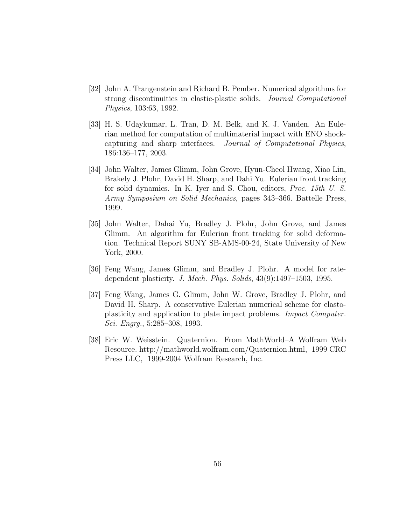- <span id="page-55-4"></span>[32] John A. Trangenstein and Richard B. Pember. Numerical algorithms for strong discontinuities in elastic-plastic solids. Journal Computational Physics, 103:63, 1992.
- <span id="page-55-5"></span>[33] H. S. Udaykumar, L. Tran, D. M. Belk, and K. J. Vanden. An Eulerian method for computation of multimaterial impact with ENO shockcapturing and sharp interfaces. Journal of Computational Physics, 186:136–177, 2003.
- <span id="page-55-2"></span>[34] John Walter, James Glimm, John Grove, Hyun-Cheol Hwang, Xiao Lin, Brakely J. Plohr, David H. Sharp, and Dahi Yu. Eulerian front tracking for solid dynamics. In K. Iyer and S. Chou, editors, Proc. 15th U. S. Army Symposium on Solid Mechanics, pages 343–366. Battelle Press, 1999.
- <span id="page-55-3"></span>[35] John Walter, Dahai Yu, Bradley J. Plohr, John Grove, and James Glimm. An algorithm for Eulerian front tracking for solid deformation. Technical Report SUNY SB-AMS-00-24, State University of New York, 2000.
- <span id="page-55-1"></span>[36] Feng Wang, James Glimm, and Bradley J. Plohr. A model for ratedependent plasticity. J. Mech. Phys. Solids, 43(9):1497–1503, 1995.
- <span id="page-55-0"></span>[37] Feng Wang, James G. Glimm, John W. Grove, Bradley J. Plohr, and David H. Sharp. A conservative Eulerian numerical scheme for elastoplasticity and application to plate impact problems. Impact Computer. Sci. Engrg., 5:285–308, 1993.
- <span id="page-55-6"></span>[38] Eric W. Weisstein. Quaternion. From MathWorld–A Wolfram Web Resource. http://mathworld.wolfram.com/Quaternion.html, 1999 CRC Press LLC, 1999-2004 Wolfram Research, Inc.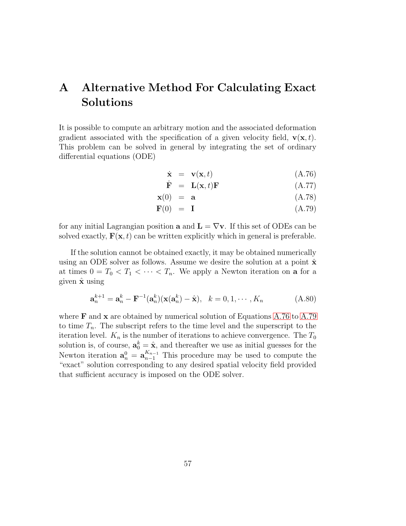## <span id="page-56-0"></span>A Alternative Method For Calculating Exact Solutions

It is possible to compute an arbitrary motion and the associated deformation gradient associated with the specification of a given velocity field,  $\mathbf{v}(\mathbf{x},t)$ . This problem can be solved in general by integrating the set of ordinary differential equations (ODE)

$$
\dot{\mathbf{x}} = \mathbf{v}(\mathbf{x}, t) \tag{A.76}
$$

<span id="page-56-1"></span>
$$
\dot{\mathbf{F}} = \mathbf{L}(\mathbf{x}, t)\mathbf{F} \tag{A.77}
$$

$$
\mathbf{x}(0) = \mathbf{a} \tag{A.78}
$$

$$
\mathbf{F}(0) = \mathbf{I} \tag{A.79}
$$

for any initial Lagrangian position **a** and  $\mathbf{L} = \nabla \mathbf{v}$ . If this set of ODEs can be solved exactly,  $\mathbf{F}(\mathbf{x},t)$  can be written explicitly which in general is preferable.

If the solution cannot be obtained exactly, it may be obtained numerically using an ODE solver as follows. Assume we desire the solution at a point  $\hat{\mathbf{x}}$ at times  $0 = T_0 < T_1 < \cdots < T_n$ . We apply a Newton iteration on **a** for a given  $\hat{\mathbf{x}}$  using

$$
\mathbf{a}_n^{k+1} = \mathbf{a}_n^k - \mathbf{F}^{-1}(\mathbf{a}_n^k)(\mathbf{x}(\mathbf{a}_n^k) - \hat{\mathbf{x}}), \quad k = 0, 1, \cdots, K_n
$$
 (A.80)

where  $\bf{F}$  and  $\bf{x}$  are obtained by numerical solution of Equations [A.76](#page-56-1) to [A.79](#page-56-1) to time  $T_n$ . The subscript refers to the time level and the superscript to the iteration level.  $K_n$  is the number of iterations to achieve convergence. The  $T_0$ solution is, of course,  $\mathbf{a}_0^k = \hat{\mathbf{x}}$ , and thereafter we use as initial guesses for the Newton iteration  $\mathbf{a}_n^0 = \mathbf{a}_{n-1}^{K_{n-1}}$  This procedure may be used to compute the "exact" solution corresponding to any desired spatial velocity field provided that sufficient accuracy is imposed on the ODE solver.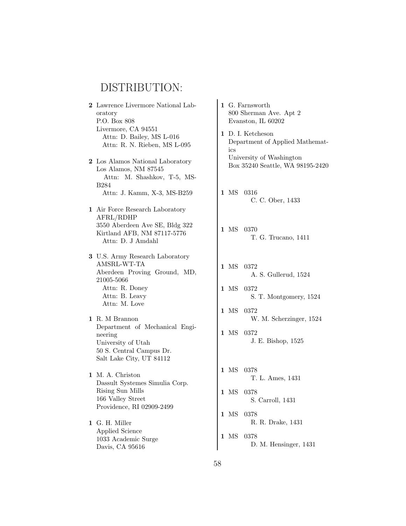## DISTRIBUTION:

- 2 Lawrence Livermore National Laboratory P.O. Box 808 Livermore, CA 94551 Attn: D. Bailey, MS L-016 Attn: R. N. Rieben, MS L-095
- 2 Los Alamos National Laboratory Los Alamos, NM 87545 Attn: M. Shashkov, T-5, MS-B284 Attn: J. Kamm, X-3, MS-B259
- 1 Air Force Research Laboratory AFRL/RDHP 3550 Aberdeen Ave SE, Bldg 322 Kirtland AFB, NM 87117-5776 Attn: D. J Amdahl

3 U.S. Army Research Laboratory AMSRL-WT-TA Aberdeen Proving Ground, MD, 21005-5066 Attn: R. Doney Attn: B. Leavy Attn: M. Love

1 R. M Brannon Department of Mechanical Engineering University of Utah 50 S. Central Campus Dr. Salt Lake City, UT 84112

1 M. A. Christon Dassult Systemes Simulia Corp. Rising Sun Mills 166 Valley Street Providence, RI 02909-2499

1 G. H. Miller Applied Science 1033 Academic Surge Davis, CA 95616

1 G. Farnsworth 800 Sherman Ave. Apt 2 Evanston, IL 60202 1 D. I. Ketcheson Department of Applied Mathematics University of Washington Box 35240 Seattle, WA 98195-2420 1 MS 0316 C. C. Ober, 1433 1 MS 0370 T. G. Trucano, 1411 1 MS 0372 A. S. Gullerud, 1524 1 MS 0372 S. T. Montgomery, 1524 1 MS 0372 W. M. Scherzinger, 1524 1 MS 0372 J. E. Bishop, 1525 1 MS 0378 T. L. Ames, 1431 1 MS 0378 S. Carroll, 1431 1 MS 0378 R. R. Drake, 1431 1 MS 0378 D. M. Hensinger, 1431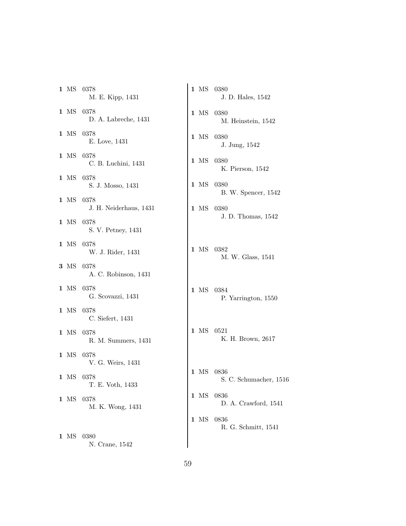1 MS 0378 M. E. Kipp, 1431 1 MS 0378 D. A. Labreche, 1431 1 MS 0378 E. Love, 1431 1 MS 0378 C. B. Luchini, 1431 1 MS 0378 S. J. Mosso, 1431 1 MS 0378 J. H. Neiderhaus, 1431 1 MS 0378 S. V. Petney, 1431 1 MS 0378 W. J. Rider, 1431 3 MS 0378 A. C. Robinson, 1431 1 MS 0378 G. Scovazzi, 1431 1 MS 0378 C. Siefert, 1431 1 MS 0378 R. M. Summers, 1431 1 MS 0378 V. G. Weirs, 1431 1 MS 0378 T. E. Voth, 1433 1 MS 0378 M. K. Wong, 1431 1 MS 0380 N. Crane, 1542 1 MS 0380 J. D. Hales, 1542 1 MS 0380 1 MS 0380 1 MS 0380 1 MS 0380 1 MS 0380 1 MS 0382 1 MS 0384 1 MS 0521 1 MS 0836 1 MS 0836 1 MS 0836

M. Heinstein, 1542 J. Jung, 1542 K. Pierson, 1542 B. W. Spencer, 1542 J. D. Thomas, 1542 M. W. Glass, 1541 P. Yarrington, 1550 K. H. Brown, 2617 S. C. Schumacher, 1516 D. A. Crawford, 1541

R. G. Schmitt, 1541